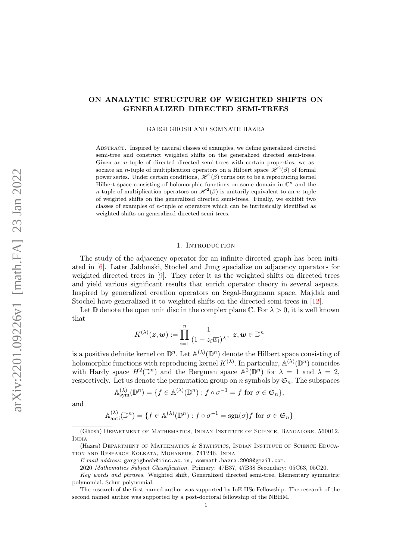# <span id="page-0-0"></span>ON ANALYTIC STRUCTURE OF WEIGHTED SHIFTS ON GENERALIZED DIRECTED SEMI-TREES

GARGI GHOSH AND SOMNATH HAZRA

Abstract. Inspired by natural classes of examples, we define generalized directed semi-tree and construct weighted shifts on the generalized directed semi-trees. Given an *n*-tuple of directed directed semi-trees with certain properties, we associate an *n*-tuple of multiplication operators on a Hilbert space  $\mathcal{H}^2(\beta)$  of formal power series. Under certain conditions,  $\mathscr{H}^2(\beta)$  turns out to be a reproducing kernel Hilbert space consisting of holomorphic functions on some domain in  $\mathbb{C}^n$  and the *n*-tuple of multiplication operators on  $\mathcal{H}^2(\beta)$  is unitarily equivalent to an *n*-tuple of weighted shifts on the generalized directed semi-trees. Finally, we exhibit two classes of examples of n-tuple of operators which can be intrinsically identified as weighted shifts on generalized directed semi-trees.

### 1. INTRODUCTION

The study of the adjacency operator for an infinite directed graph has been initiated in [\[6\]](#page-17-0). Later Jablonski, Stochel and Jung specialize on adjacency operators for weighted directed trees in [\[9\]](#page-17-1). They refer it as the weighted shifts on directed trees and yield various significant results that enrich operator theory in several aspects. Inspired by generalized creation operators on Segal-Bargmann space, Majdak and Stochel have generalized it to weighted shifts on the directed semi-trees in [\[12\]](#page-18-0).

Let D denote the open unit disc in the complex plane C. For  $\lambda > 0$ , it is well known that

$$
K^{(\lambda)}(\boldsymbol z, \boldsymbol w) := \prod_{i=1}^n \frac{1}{(1 - z_i \overline{w_i})^\lambda}, \,\, \boldsymbol z, \boldsymbol w \in \mathbb{D}^n
$$

is a positive definite kernel on  $\mathbb{D}^n$ . Let  $\mathbb{A}^{(\lambda)}(\mathbb{D}^n)$  denote the Hilbert space consisting of holomorphic functions with reproducing kernel  $K^{(\lambda)}$ . In particular,  $\mathbb{A}^{(\lambda)}(\mathbb{D}^n)$  coincides with Hardy space  $H^2(\mathbb{D}^n)$  and the Bergman space  $\mathbb{A}^2(\mathbb{D}^n)$  for  $\lambda = 1$  and  $\lambda = 2$ , respectively. Let us denote the permutation group on n symbols by  $\mathfrak{S}_n$ . The subspaces

$$
\mathbb{A}_{sym}^{(\lambda)}(\mathbb{D}^n) = \{ f \in \mathbb{A}^{(\lambda)}(\mathbb{D}^n) : f \circ \sigma^{-1} = f \text{ for } \sigma \in \mathfrak{S}_n \},
$$

and

$$
\mathbb{A}_{\text{anti}}^{(\lambda)}(\mathbb{D}^n) = \{ f \in \mathbb{A}^{(\lambda)}(\mathbb{D}^n) : f \circ \sigma^{-1} = \text{sgn}(\sigma) f \text{ for } \sigma \in \mathfrak{S}_n \}
$$

<sup>(</sup>Ghosh) Department of Mathematics, Indian Institute of Science, Bangalore, 560012, **INDIA** 

<sup>(</sup>Hazra) Department of Mathematics & Statistics, Indian Institute of Science Education and Research Kolkata, Mohanpur, 741246, India

E-mail address: gargighosh@iisc.ac.in, somnath.hazra.2008@gmail.com.

<sup>2020</sup> Mathematics Subject Classification. Primary: 47B37, 47B38 Secondary: 05C63, 05C20.

Key words and phrases. Weighted shift, Generalized directed semi-tree, Elementary symmetric polynomial, Schur polynomial.

The research of the first named author was supported by IoE-IISc Fellowship. The research of the second named author was supported by a post-doctoral fellowship of the NBHM.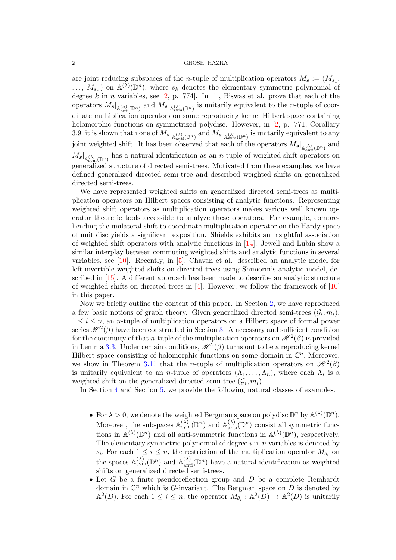<span id="page-1-0"></span>are joint reducing subspaces of the *n*-tuple of multiplication operators  $M_{s} := (M_{s_1},$  $\ldots, M_{s_n}$  on  $\mathbb{A}^{(\lambda)}(\mathbb{D}^n)$ , where  $s_k$  denotes the elementary symmetric polynomial of degree  $k$  in n variables, see [\[2,](#page-17-2) p. 774]. In [\[1\]](#page-17-3), Biswas et al. prove that each of the operators  $M_{s}|_{A(\lambda)_{\text{ant}}(\mathbb{D}^{n})}$  and  $M_{s}|_{A_{\text{sym}}(\mathbb{D}^{n})}$  is unitarily equivalent to the *n*-tuple of coordinate multiplication operators on some reproducing kernel Hilbert space containing holomorphic functions on symmetrized polydisc. However, in [\[2,](#page-17-2) p. 771, Corollary 3.9 it is shown that none of  $M_{s}|_{\mathbb{A}^{(\lambda)}_{\text{anti}}(\mathbb{D}^n)}$  and  $M_{s}|_{\mathbb{A}^{(\lambda)}_{\text{sym}}(\mathbb{D}^n)}$  is unitarily equivalent to any joint weighted shift. It has been observed that each of the operators  $M_{s}|_{A(\lambda),\{x\}\atop\text{Anti}}(\mathbb{D}^{n})}$  and  $M_{s}|_{A_{sym}^{(\lambda)}(\mathbb{D}^{n})}$  has a natural identification as an *n*-tuple of weighted shift operators on generalized structure of directed semi-trees. Motivated from these examples, we have defined generalized directed semi-tree and described weighted shifts on generalized directed semi-trees.

We have represented weighted shifts on generalized directed semi-trees as multiplication operators on Hilbert spaces consisting of analytic functions. Representing weighted shift operators as multiplication operators makes various well known operator theoretic tools accessible to analyze these operators. For example, comprehending the unilateral shift to coordinate multiplication operator on the Hardy space of unit disc yields a significant exposition. Shields exhibits an insightful association of weighted shift operators with analytic functions in [\[14\]](#page-18-1). Jewell and Lubin show a similar interplay between commuting weighted shifts and analytic functions in several variables, see [\[10\]](#page-17-4). Recently, in [\[5\]](#page-17-5), Chavan et al. described an analytic model for left-invertible weighted shifts on directed trees using Shimorin's analytic model, described in [\[15\]](#page-18-2). A different approach has been made to describe an analytic structure of weighted shifts on directed trees in [\[4\]](#page-17-6). However, we follow the framework of [\[10\]](#page-17-4) in this paper.

Now we briefly outline the content of this paper. In Section [2,](#page-2-0) we have reproduced a few basic notions of graph theory. Given generalized directed semi-trees  $(\mathcal{G}_i, m_i)$ ,  $1 \leq i \leq n$ , an *n*-tuple of multiplication operators on a Hilbert space of formal power series  $\mathscr{H}^2(\beta)$  have been constructed in Section [3.](#page-3-0) A necessary and sufficient condition for the continuity of that *n*-tuple of the multiplication operators on  $\mathscr{H}^2(\beta)$  is provided in Lemma [3.3.](#page-7-0) Under certain conditions,  $\mathcal{H}^2(\beta)$  turns out to be a reproducing kernel Hilbert space consisting of holomorphic functions on some domain in  $\mathbb{C}^n$ . Moreover, we show in Theorem [3.11](#page-9-0) that the *n*-tuple of multiplication operators on  $\mathcal{H}^2(\beta)$ is unitarily equivalent to an *n*-tuple of operators  $(\Lambda_1, \ldots, \Lambda_n)$ , where each  $\Lambda_i$  is a weighted shift on the generalized directed semi-tree  $(\mathcal{G}_i, m_i)$ .

In Section [4](#page-10-0) and Section [5,](#page-15-0) we provide the following natural classes of examples.

- For  $\lambda > 0$ , we denote the weighted Bergman space on polydisc  $\mathbb{D}^n$  by  $\mathbb{A}^{(\lambda)}(\mathbb{D}^n)$ . Moreover, the subspaces  $\mathbb{A}_{sym}^{(\lambda)}(\mathbb{D}^n)$  and  $\mathbb{A}_{anti}^{(\lambda)}(\mathbb{D}^n)$  consist all symmetric functions in  $\mathbb{A}^{(\lambda)}(\mathbb{D}^n)$  and all anti-symmetric functions in  $\mathbb{A}^{(\lambda)}(\mathbb{D}^n)$ , respectively. The elementary symmetric polynomial of degree  $i$  in  $n$  variables is denoted by  $s_i$ . For each  $1 \leq i \leq n$ , the restriction of the multiplication operator  $M_{s_i}$  on the spaces  $\mathbb{A}_{sym}^{(\lambda)}(\mathbb{D}^n)$  and  $\mathbb{A}_{anti}^{(\lambda)}(\mathbb{D}^n)$  have a natural identification as weighted shifts on generalized directed semi-trees.
- Let  $G$  be a finite pseudoreflection group and  $D$  be a complete Reinhardt domain in  $\mathbb{C}^n$  which is *G*-invariant. The Bergman space on  $\overline{D}$  is denoted by  $\mathbb{A}^2(D)$ . For each  $1 \leq i \leq n$ , the operator  $M_{\theta_i} : \mathbb{A}^2(D) \to \mathbb{A}^2(D)$  is unitarily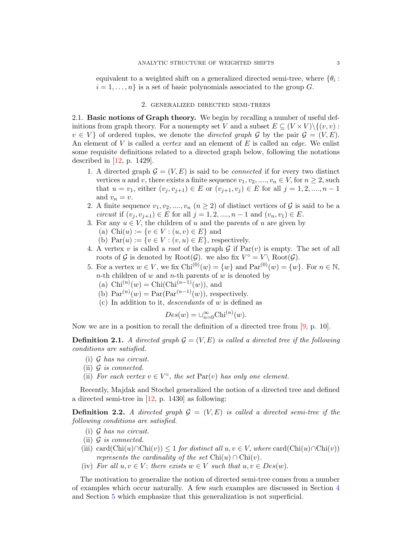<span id="page-2-1"></span>equivalent to a weighted shift on a generalized directed semi-tree, where  $\{\theta_i:$  $i = 1, \ldots, n$  is a set of basic polynomials associated to the group G.

# 2. generalized directed semi-trees

<span id="page-2-0"></span>2.1. Basic notions of Graph theory. We begin by recalling a number of useful definitions from graph theory. For a nonempty set V and a subset  $E \subseteq (V \times V) \setminus \{(v, v) :$  $v \in V$  of ordered tuples, we denote the *directed graph* G by the pair  $\mathcal{G} = (V, E)$ . An element of V is called a *vertex* and an element of E is called an *edge*. We enlist some requisite definitions related to a directed graph below, following the notations described in [\[12,](#page-18-0) p. 1429].

- 1. A directed graph  $\mathcal{G} = (V, E)$  is said to be *connected* if for every two distinct vertices u and v, there exists a finite sequence  $v_1, v_2, ..., v_n \in V$ , for  $n \geq 2$ , such that  $u = v_1$ , either  $(v_j, v_{j+1}) \in E$  or  $(v_{j+1}, v_j) \in E$  for all  $j = 1, 2, ..., n-1$ and  $v_n = v$ .
- 2. A finite sequence  $v_1, v_2, ..., v_n$   $(n \geq 2)$  of distinct vertices of  $\mathcal G$  is said to be a circuit if  $(v_i, v_{i+1}) \in E$  for all  $j = 1, 2, ..., n-1$  and  $(v_n, v_1) \in E$ .
- 3. For any  $u \in V$ , the children of u and the parents of u are given by
	- (a) Chi $(u) := \{v \in V : (u, v) \in E\}$  and
	- (b)  $Par(u) := \{v \in V : (v, u) \in E\}$ , respectively.
- 4. A vertex v is called a *root* of the graph G if  $Par(v)$  is empty. The set of all roots of G is denoted by Root $(\mathcal{G})$ . we also fix  $V^{\circ} = V \setminus \text{Root}(\mathcal{G})$ .
- 5. For a vertex  $w \in V$ , we fix  $\text{Chi}^{(0)}(w) = \{w\}$  and  $\text{Par}^{(0)}(w) = \{w\}$ . For  $n \in \mathbb{N}$ ,  $n$ -th children of w and  $n$ -th parents of w is denoted by
	- (a)  $Chi^{(n)}(w) = Chi(Chi^{(n-1)}(w))$ , and
	- (b)  $\text{Par}^{(n)}(w) = \text{Par}(\text{Par}^{(n-1)}(w))$ , respectively.
	- (c) In addition to it, descendants of w is defined as

$$
Des(w) = \cup_{n=0}^{\infty} \text{Chi}^{(n)}(w).
$$

Now we are in a position to recall the definition of a directed tree from [\[9,](#page-17-1) p. 10].

**Definition 2.1.** A directed graph  $\mathcal{G} = (V, E)$  is called a directed tree if the following conditions are satisfied.

- (i) G has no circuit.
- (ii) G is connected.
- (ii) For each vertex  $v \in V^{\circ}$ , the set  $Par(v)$  has only one element.

Recently, Majdak and Stochel generalized the notion of a directed tree and defined a directed semi-tree in [\[12,](#page-18-0) p. 1430] as following:

**Definition 2.2.** A directed graph  $G = (V, E)$  is called a directed semi-tree if the following conditions are satisfied.

- $(i)$  G has no circuit.
- (ii)  $\mathcal G$  is connected.
- (iii) card(Chi(u)∩Chi(v))  $\leq 1$  for distinct all  $u, v \in V$ , where card(Chi(u)∩Chi(v)) represents the cardinality of the set  $Chi(u) \cap Chi(v)$ .
- (iv) For all  $u, v \in V$ ; there exists  $w \in V$  such that  $u, v \in Des(w)$ .

The motivation to generalize the notion of directed semi-tree comes from a number of examples which occur naturally. A few such examples are discussed in Section [4](#page-10-0) and Section [5](#page-15-0) which emphasize that this generalization is not superficial.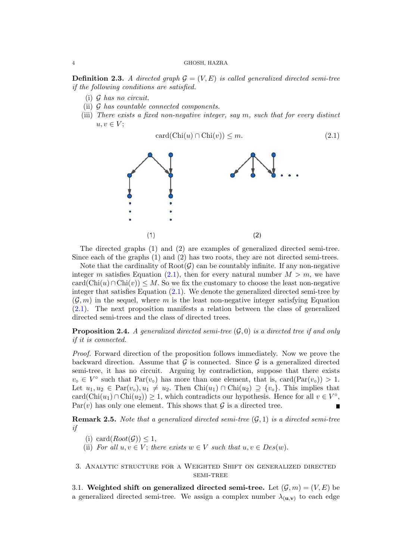**Definition 2.3.** A directed graph  $\mathcal{G} = (V, E)$  is called generalized directed semi-tree if the following conditions are satisfied.

- $(i)$  G has no circuit.
- (ii) G has countable connected components.
- (iii) There exists a fixed non-negative integer, say m, such that for every distinct  $u, v \in V$ ;

<span id="page-3-1"></span>
$$
card(Chi(u) \cap Chi(v)) \le m.
$$
\n(2.1)



The directed graphs (1) and (2) are examples of generalized directed semi-tree. Since each of the graphs (1) and (2) has two roots, they are not directed semi-trees.

Note that the cardinality of  $Root(\mathcal{G})$  can be countably infinite. If any non-negative integer m satisfies Equation [\(2.1\)](#page-3-1), then for every natural number  $M > m$ , we have  $card(Chi(u) \cap Chi(v)) \leq M$ . So we fix the customary to choose the least non-negative integer that satisfies Equation [\(2.1\)](#page-3-1). We denote the generalized directed semi-tree by  $(\mathcal{G}, m)$  in the sequel, where m is the least non-negative integer satisfying Equation [\(2.1\)](#page-3-1). The next proposition manifests a relation between the class of generalized directed semi-trees and the class of directed trees.

**Proposition 2.4.** A generalized directed semi-tree  $(\mathcal{G}, 0)$  is a directed tree if and only if it is connected.

Proof. Forward direction of the proposition follows immediately. Now we prove the backward direction. Assume that  $\mathcal G$  is connected. Since  $\mathcal G$  is a generalized directed semi-tree, it has no circuit. Arguing by contradiction, suppose that there exists  $v_{\circ} \in V^{\circ}$  such that  $Par(v_{\circ})$  has more than one element, that is, card $(Par(v_{\circ})) > 1$ . Let  $u_1, u_2 \in \text{Par}(v_0), u_1 \neq u_2$ . Then  $\text{Chi}(u_1) \cap \text{Chi}(u_2) \supseteq \{v_0\}$ . This implies that card( $Chi(u_1) \cap Chi(u_2) \geq 1$ , which contradicts our hypothesis. Hence for all  $v \in V^{\circ}$ ,  $Par(v)$  has only one element. This shows that G is a directed tree.  $\blacksquare$ 

**Remark 2.5.** Note that a generalized directed semi-tree  $(G, 1)$  is a directed semi-tree if

- (i) card $(Root(\mathcal{G})) \leq 1$ ,
- (ii) For all  $u, v \in V$ ; there exists  $w \in V$  such that  $u, v \in Des(w)$ .
- <span id="page-3-0"></span>3. Analytic structure for a Weighted Shift on generalized directed semi-tree

3.1. Weighted shift on generalized directed semi-tree. Let  $(\mathcal{G}, m) = (V, E)$  be a generalized directed semi-tree. We assign a complex number  $\lambda_{(u,v)}$  to each edge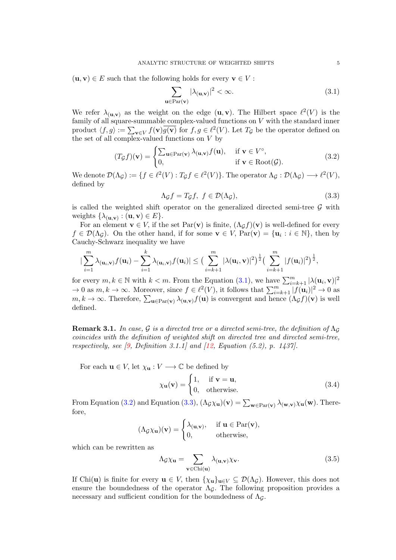<span id="page-4-5"></span> $(\mathbf{u}, \mathbf{v}) \in E$  such that the following holds for every  $\mathbf{v} \in V$ :

<span id="page-4-0"></span>
$$
\sum_{\mathbf{u}\in\text{Par}(\mathbf{v})} |\lambda_{(\mathbf{u},\mathbf{v})}|^2 < \infty. \tag{3.1}
$$

We refer  $\lambda_{(u,v)}$  as the weight on the edge  $(u, v)$ . The Hilbert space  $\ell^2(V)$  is the family of all square-summable complex-valued functions on  $V$  with the standard inner product  $\langle f, g \rangle := \sum_{\mathbf{v} \in V} f(\mathbf{v}) \overline{g(\mathbf{v})}$  for  $f, g \in \ell^2(V)$ . Let  $T_g$  be the operator defined on the set of all complex-valued functions on  $V$  by

<span id="page-4-1"></span>
$$
(T_{\mathcal{G}}f)(\mathbf{v}) = \begin{cases} \sum_{\mathbf{u} \in \text{Par}(\mathbf{v})} \lambda_{(\mathbf{u}, \mathbf{v})} f(\mathbf{u}), & \text{if } \mathbf{v} \in V^{\circ}, \\ 0, & \text{if } \mathbf{v} \in \text{Root}(\mathcal{G}). \end{cases}
$$
(3.2)

We denote  $\mathcal{D}(\Lambda_{\mathcal{G}}) := \{f \in \ell^2(V) : T_{\mathcal{G}}f \in \ell^2(V)\}\.$  The operator  $\Lambda_{\mathcal{G}} : \mathcal{D}(\Lambda_{\mathcal{G}}) \longrightarrow \ell^2(V),$ defined by

<span id="page-4-2"></span>
$$
\Lambda_{\mathcal{G}}f = T_{\mathcal{G}}f, \ f \in \mathcal{D}(\Lambda_{\mathcal{G}}),\tag{3.3}
$$

is called the weighted shift operator on the generalized directed semi-tree  $\mathcal G$  with weights  $\{\lambda_{(\mathbf{u},\mathbf{v})}: (\mathbf{u},\mathbf{v}) \in E\}.$ 

For an element  $\mathbf{v} \in V$ , if the set  $\text{Par}(\mathbf{v})$  is finite,  $(\Lambda_{\mathcal{G}} f)(\mathbf{v})$  is well-defined for every  $f \in \mathcal{D}(\Lambda_{\mathcal{G}})$ . On the other hand, if for some  $\mathbf{v} \in V$ ,  $\text{Par}(\mathbf{v}) = {\mathbf{u}_i : i \in \mathbb{N}}$ , then by Cauchy-Schwarz inequality we have

$$
|\sum_{i=1}^m \lambda_{(\mathbf{u}_i,\mathbf{v})} f(\mathbf{u}_i) - \sum_{i=1}^k \lambda_{(\mathbf{u}_i,\mathbf{v})} f(\mathbf{u}_i)| \leq \big(\sum_{i=k+1}^m |\lambda(\mathbf{u}_i,\mathbf{v})|^2\big)^{\frac{1}{2}} \big(\sum_{i=k+1}^m |f(\mathbf{u}_i)|^2\big)^{\frac{1}{2}},
$$

for every  $m, k \in \mathbb{N}$  with  $k < m$ . From the Equation [\(3.1\)](#page-4-0), we have  $\sum_{i=k+1}^{m} |\lambda(\mathbf{u}_i, \mathbf{v})|^2$  $\to 0$  as  $m, k \to \infty$ . Moreover, since  $f \in \ell^2(V)$ , it follows that  $\sum_{i=k+1}^m |f(\mathbf{u}_i)|^2 \to 0$  as  $m, k \to \infty$ . Therefore,  $\sum_{\mathbf{u} \in \text{Par}(\mathbf{v})} \lambda_{(\mathbf{u},\mathbf{v})} f(\mathbf{u})$  is convergent and hence  $(\Lambda_{\mathcal{G}} f)(\mathbf{v})$  is well defined.

**Remark 3.1.** In case, G is a directed tree or a directed semi-tree, the definition of  $\Lambda_G$ coincides with the definition of weighted shift on directed tree and directed semi-tree, respectively, see [\[9,](#page-17-1) Definition 3.1.1] and  $[12, Equation (5.2), p. 1437]$  $[12, Equation (5.2), p. 1437]$ .

For each  $\mathbf{u} \in V$ , let  $\chi_{\mathbf{u}} : V \longrightarrow \mathbb{C}$  be defined by

<span id="page-4-4"></span>
$$
\chi_{\mathbf{u}}(\mathbf{v}) = \begin{cases} 1, & \text{if } \mathbf{v} = \mathbf{u}, \\ 0, & \text{otherwise.} \end{cases}
$$
 (3.4)

From Equation [\(3.2\)](#page-4-1) and Equation [\(3.3\)](#page-4-2),  $(\Lambda_g \chi_u)(\mathbf{v}) = \sum_{\mathbf{w} \in \text{Par}(\mathbf{v})} \lambda_{(\mathbf{w},\mathbf{v})} \chi_u(\mathbf{w})$ . Therefore,

$$
(\Lambda_{\mathcal{G}}\chi_{\mathbf{u}})(\mathbf{v}) = \begin{cases} \lambda_{(\mathbf{u},\mathbf{v})}, & \text{if } \mathbf{u} \in \operatorname{Par}(\mathbf{v}), \\ 0, & \text{otherwise}, \end{cases}
$$

which can be rewritten as

<span id="page-4-3"></span>
$$
\Lambda_{\mathcal{G}} \chi_{\mathbf{u}} = \sum_{\mathbf{v} \in \text{Chi}(\mathbf{u})} \lambda_{(\mathbf{u}, \mathbf{v})} \chi_{\mathbf{v}}.
$$
\n(3.5)

If Chi(u) is finite for every  $\mathbf{u} \in V$ , then  $\{\chi_{\mathbf{u}}\}_{\mathbf{u}\in V} \subseteq \mathcal{D}(\Lambda_{\mathcal{G}})$ . However, this does not ensure the boundedness of the operator  $\Lambda_{\mathcal{G}}$ . The following proposition provides a necessary and sufficient condition for the boundedness of  $\Lambda_{\mathcal{G}}$ .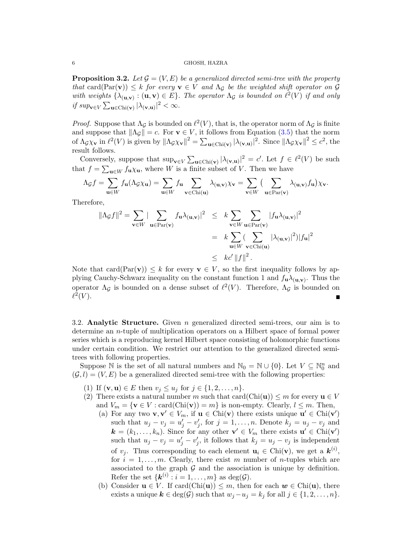**Proposition 3.2.** Let  $\mathcal{G} = (V, E)$  be a generalized directed semi-tree with the property that card(Par(v))  $\leq k$  for every  $\mathbf{v} \in V$  and  $\Lambda_g$  be the weighted shift operator on  $\mathcal G$ with weights  $\{\lambda_{(\mathbf{u},\mathbf{v})}: (\mathbf{u},\mathbf{v}) \in E\}$ . The operator  $\Lambda_{\mathcal{G}}$  is bounded on  $\ell^2(V)$  if and only if  $sup_{\mathbf{v}\in V}\sum_{\mathbf{u}\in \text{Chi}(\mathbf{v})}|\lambda_{(\mathbf{v},\mathbf{u})}|^2 < \infty$ .

*Proof.* Suppose that  $\Lambda_{\mathcal{G}}$  is bounded on  $\ell^2(V)$ , that is, the operator norm of  $\Lambda_{\mathcal{G}}$  is finite and suppose that  $\|\Lambda_{\mathcal{G}}\| = c$ . For  $\mathbf{v} \in V$ , it follows from Equation [\(3.5\)](#page-4-3) that the norm of  $\Lambda_{\mathcal{G}}\chi_{\mathbf{v}}$  in  $\ell^2(V)$  is given by  $\|\Lambda_{\mathcal{G}}\chi_{\mathbf{v}}\|^2 = \sum_{\mathbf{u}\in\text{Chi}(\mathbf{v})}|\lambda_{(\mathbf{v},\mathbf{u})}|^2$ . Since  $\|\Lambda_{\mathcal{G}}\chi_{\mathbf{v}}\|^2 \leq c^2$ , the result follows.

Conversely, suppose that  $\sup_{\mathbf{v}\in V}\sum_{\mathbf{u}\in\text{Chi}(\mathbf{v})}|\lambda_{(\mathbf{v},\mathbf{u})}|^2=c'$ . Let  $f\in\ell^2(V)$  be such that  $f = \sum_{\mathbf{u} \in W} f_{\mathbf{u}} \chi_{\mathbf{u}}$ , where W is a finite subset of V. Then we have

$$
\Lambda_{\mathcal{G}}f = \sum_{\mathbf{u}\in W} f_{\mathbf{u}}(\Lambda_{\mathcal{G}}\chi_{\mathbf{u}}) = \sum_{\mathbf{u}\in W} f_{\mathbf{u}} \sum_{\mathbf{v}\in \text{Chi}(\mathbf{u})} \lambda_{(\mathbf{u},\mathbf{v})}\chi_{\mathbf{v}} = \sum_{\mathbf{v}\in W} \Big(\sum_{\mathbf{u}\in \text{Par}(\mathbf{v})} \lambda_{(\mathbf{u},\mathbf{v})} f_{\mathbf{u}}\Big)\chi_{\mathbf{v}}.
$$

Therefore,

$$
\|\Lambda_{\mathcal{G}}f\|^2 = \sum_{\mathbf{v}\in W} |\sum_{\mathbf{u}\in \text{Par}(\mathbf{v})} f_{\mathbf{u}}\lambda_{(\mathbf{u},\mathbf{v})}|^2 \leq k \sum_{\mathbf{v}\in W} \sum_{\mathbf{u}\in \text{Par}(\mathbf{v})} |f_{\mathbf{u}}\lambda_{(\mathbf{u},\mathbf{v})}|^2
$$
  

$$
= k \sum_{\mathbf{u}\in W} (\sum_{\mathbf{v}\in \text{Chi}(\mathbf{u})} |\lambda_{(\mathbf{u},\mathbf{v})}|^2) |f_{\mathbf{u}}|^2
$$
  

$$
\leq k c' \|f\|^2.
$$

Note that card(Par(v))  $\leq k$  for every  $\mathbf{v} \in V$ , so the first inequality follows by applying Cauchy-Schwarz inequality on the constant function 1 and  $f_{\bf{u}}\lambda_{(\bf{u},\bf{v})}$ . Thus the operator  $\Lambda_{\mathcal{G}}$  is bounded on a dense subset of  $\ell^2(V)$ . Therefore,  $\Lambda_{\mathcal{G}}$  is bounded on  $\ell^2(V)$ .

3.2. Analytic Structure. Given  $n$  generalized directed semi-trees, our aim is to determine an n-tuple of multiplication operators on a Hilbert space of formal power series which is a reproducing kernel Hilbert space consisting of holomorphic functions under certain condition. We restrict our attention to the generalized directed semitrees with following properties.

Suppose  $\mathbb N$  is the set of all natural numbers and  $\mathbb N_0 = \mathbb N \cup \{0\}$ . Let  $V \subseteq \mathbb N_0^n$  and  $(G, l) = (V, E)$  be a generalized directed semi-tree with the following properties:

- <span id="page-5-0"></span>(1) If  $(v, u) \in E$  then  $v_j \le u_j$  for  $j \in \{1, 2, ..., n\}.$
- <span id="page-5-1"></span>(2) There exists a natural number m such that  $card(Chi(u)) \le m$  for every  $u \in V$ and  $V_m = \{v \in V : \text{card}(Chi(v)) = m\}$  is non-empty. Clearly,  $l \leq m$ . Then,
	- (a) For any two  $\mathbf{v}, \mathbf{v}' \in V_m$ , if  $\mathbf{u} \in \text{Chi}(\mathbf{v})$  there exists unique  $\mathbf{u}' \in \text{Chi}(\mathbf{v}')$ such that  $u_j - v_j = u'_j - v'_j$ , for  $j = 1, ..., n$ . Denote  $k_j = u_j - v_j$  and  $\mathbf{k} = (k_1, \ldots, k_n)$ . Since for any other  $\mathbf{v}' \in V_m$  there exists  $\mathbf{u}' \in \text{Chi}(\mathbf{v}')$ such that  $u_j - v_j = u'_j - v'_j$ , it follows that  $k_j = u_j - v_j$  is independent of  $v_j$ . Thus corresponding to each element  $\mathbf{u}_i \in \text{Chi}(\mathbf{v})$ , we get a  $\mathbf{k}^{(i)}$ , for  $i = 1, \ldots, m$ . Clearly, there exist m number of n-tuples which are associated to the graph  $G$  and the association is unique by definition. Refer the set  $\{\mathbf{k}^{(i)}: i=1,\ldots,m\}$  as  $\deg(\mathcal{G})$ .
	- (b) Consider  $\mathbf{u} \in V$ . If card(Chi( $\mathbf{u}$ ))  $\leq m$ , then for each  $\mathbf{w} \in \text{Chi}(\mathbf{u})$ , there exists a unique  $k \in \deg(\mathcal{G})$  such that  $w_j - u_j = k_j$  for all  $j \in \{1, 2, ..., n\}$ .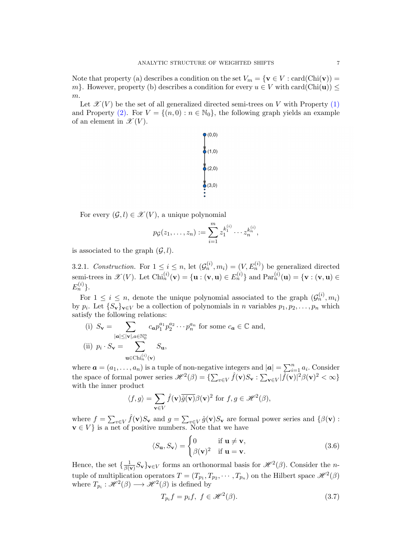Note that property (a) describes a condition on the set  $V_m = \{v \in V : \text{card}(Chi(v)) =$ m}. However, property (b) describes a condition for every  $u \in V$  with card(Chi(u))  $\leq$ m.

Let  $\mathscr{X}(V)$  be the set of all generalized directed semi-trees on V with Property  $(1)$ and Property [\(2\).](#page-5-1) For  $V = \{(n, 0) : n \in \mathbb{N}_0\}$ , the following graph yields an example of an element in  $\mathscr{X}(V)$ .



For every  $(\mathcal{G}, l) \in \mathcal{X}(V)$ , a unique polynomial

$$
p_G(z_1,..., z_n) := \sum_{i=1}^m z_1^{k_1^{(i)}} \cdots z_n^{k_n^{(i)}},
$$

is associated to the graph  $(\mathcal{G}, l)$ .

3.2.1. Construction. For  $1 \leq i \leq n$ , let  $(\mathcal{G}_n^{(i)}, m_i) = (V, E_n^{(i)})$  be generalized directed semi-trees in  $\mathscr{X}(V)$ . Let  $\text{Chi}_n^{(i)}(\mathbf{v}) = \{\mathbf{u} : (\mathbf{v}, \mathbf{u}) \in E_n^{(i)}\}$  and  $\text{Par}_n^{(i)}(\mathbf{u}) = \{\mathbf{v} : (\mathbf{v}, \mathbf{u}) \in$  $E_n^{(i)}\}.$ 

For  $1 \leq i \leq n$ , denote the unique polynomial associated to the graph  $(\mathcal{G}_n^{(i)}, m_i)$ by  $p_i$ . Let  $\{S_{\mathbf{v}}\}_{\mathbf{v}\in V}$  be a collection of polynomials in *n* variables  $p_1, p_2, \ldots, p_n$  which satisfy the following relations:

<span id="page-6-3"></span><span id="page-6-0"></span>(i) 
$$
S_{\mathbf{v}} = \sum_{|\mathbf{a}| \leq |\mathbf{v}|, a \in \mathbb{N}_0^n} c_{\mathbf{a}} p_1^{a_1} p_2^{a_2} \cdots p_n^{a_n}
$$
 for some  $c_{\mathbf{a}} \in \mathbb{C}$  and,  
\n(ii)  $p_i \cdot S_{\mathbf{v}} = \sum_{\mathbf{u} \in \text{Chi}_n^{(i)}(\mathbf{v})} S_{\mathbf{u}},$ 

where  $\boldsymbol{a} = (a_1, \ldots, a_n)$  is a tuple of non-negative integers and  $|\boldsymbol{a}| = \sum_{i=1}^n a_i$ . Consider the space of formal power series  $\mathscr{H}^2(\beta) = \{\sum_{v \in V} \hat{f}(\mathbf{v}) S_{\mathbf{v}} : \sum_{v \in V} |\hat{f}(\mathbf{v})|^2 \beta(\mathbf{v})^2 < \infty\}$ with the inner product

$$
\langle f, g \rangle = \sum_{\mathbf{v} \in V} \hat{f}(\mathbf{v}) \overline{\hat{g}(\mathbf{v})} \beta(\mathbf{v})^2 \text{ for } f, g \in \mathcal{H}^2(\beta),
$$

where  $f = \sum_{v \in V} \hat{f}(\mathbf{v}) S_{\mathbf{v}}$  and  $g = \sum_{v \in V} \hat{g}(\mathbf{v}) S_{\mathbf{v}}$  are formal power series and  $\{\beta(\mathbf{v})\}$ :  $\mathbf{v} \in V$  is a net of positive numbers. Note that we have

<span id="page-6-2"></span>
$$
\langle S_{\mathbf{u}}, S_{\mathbf{v}} \rangle = \begin{cases} 0 & \text{if } \mathbf{u} \neq \mathbf{v}, \\ \beta(\mathbf{v})^2 & \text{if } \mathbf{u} = \mathbf{v}. \end{cases}
$$
(3.6)

Hence, the set  $\{\frac{1}{\beta}$  $\frac{1}{\beta(\mathbf{v})}S_{\mathbf{v}}\}_{\mathbf{v}\in V}$  forms an orthonormal basis for  $\mathscr{H}^2(\beta)$ . Consider the *n*tuple of multiplication operators  $T = (T_{p_1}, T_{p_2}, \cdots, T_{p_n})$  on the Hilbert space  $\mathcal{H}^2(\beta)$ where  $T_{p_i}: \mathcal{H}^2(\beta) \longrightarrow \mathcal{H}^2(\beta)$  is defined by

<span id="page-6-1"></span>
$$
T_{p_i}f = p_i f, \ f \in \mathcal{H}^2(\beta). \tag{3.7}
$$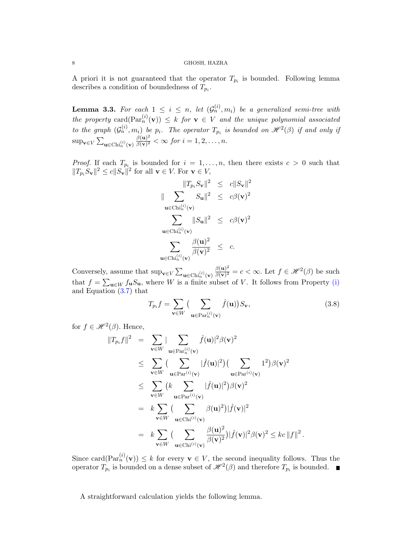A priori it is not guaranteed that the operator  $T_{p_i}$  is bounded. Following lemma describes a condition of boundedness of  $T_{p_i}$ .

<span id="page-7-0"></span>**Lemma 3.3.** For each  $1 \leq i \leq n$ , let  $(\mathcal{G}_n^{(i)}, m_i)$  be a generalized semi-tree with the property card $(\text{Par}_n^{(i)}(\mathbf{v})) \leq k$  for  $\mathbf{v} \in V$  and the unique polynomial associated to the graph  $(G_n^{(i)}, m_i)$  be  $p_i$ . The operator  $T_{p_i}$  is bounded on  $\mathcal{H}^2(\beta)$  if and only if  $\sup_{\mathbf{v}\in V}\sum_{\mathbf{u}\in \text{Chi}_n^{(i)}(\mathbf{v})}$  $\beta({\bf u})^2$  $\frac{\beta(\mathbf{u})^2}{\beta(\mathbf{v})^2} < \infty$  for  $i = 1, 2, \ldots, n$ .

*Proof.* If each  $T_{p_i}$  is bounded for  $i = 1, \ldots, n$ , then there exists  $c > 0$  such that  $||T_{p_i}S_{\mathbf{v}}||^2 \le c||S_{\mathbf{v}}||^2$  for all  $\mathbf{v} \in V$ . For  $\mathbf{v} \in V$ ,

$$
\|\sum_{\mathbf{u}\in\text{Chi}_n^{(i)}(\mathbf{v})} \|T_{p_i}S_{\mathbf{v}}\|^2 \leq c\|S_{\mathbf{v}}\|^2
$$
  

$$
\|\sum_{\mathbf{u}\in\text{Chi}_n^{(i)}(\mathbf{v})} S_{\mathbf{u}}\|^2 \leq c\beta(\mathbf{v})^2
$$
  

$$
\sum_{\mathbf{u}\in\text{Chi}_n^{(i)}(\mathbf{v})} \|S_{\mathbf{u}}\|^2 \leq c\beta(\mathbf{v})^2
$$
  

$$
\sum_{\mathbf{u}\in\text{Chi}_n^{(i)}(\mathbf{v})} \frac{\beta(\mathbf{u})^2}{\beta(\mathbf{v})^2} \leq c.
$$

Conversely, assume that  $\sup_{\mathbf{v}\in V}\sum_{\mathbf{u}\in \text{Chi}_n^{(i)}(\mathbf{v})}$  $\beta({\bf u})^2$  $\frac{\beta(\mathbf{u})^2}{\beta(\mathbf{v})^2} = c < \infty$ . Let  $f \in \mathcal{H}^2(\beta)$  be such that  $f = \sum_{\mathbf{u} \in W} f_{\mathbf{u}} S_{\mathbf{u}}$ , where W is a finite subset of V. It follows from Property [\(i\)](#page-6-0) and Equation [\(3.7\)](#page-6-1) that

$$
T_{p_i}f = \sum_{\mathbf{v} \in W} \left( \sum_{\mathbf{u} \in \text{Par}_n^{(i)}(\mathbf{v})} \hat{f}(\mathbf{u}) \right) S_{\mathbf{v}},\tag{3.8}
$$

.

for  $f \in \mathcal{H}^2(\beta)$ . Hence,

$$
||T_{p_i}f||^2 = \sum_{\mathbf{v}\in W} |\sum_{\mathbf{u}\in \text{Par}_n^{(i)}(\mathbf{v})} \hat{f}(\mathbf{u})|^2 \beta(\mathbf{v})^2
$$
  
\n
$$
\leq \sum_{\mathbf{v}\in W} (\sum_{\mathbf{u}\in \text{Par}^{(i)}(\mathbf{v})} |\hat{f}(\mathbf{u})|^2) (\sum_{\mathbf{u}\in \text{Par}^{(i)}(\mathbf{v})} 1^2) \beta(\mathbf{v})^2
$$
  
\n
$$
\leq \sum_{\mathbf{v}\in W} (k \sum_{\mathbf{u}\in \text{Par}^{(i)}(\mathbf{v})} |\hat{f}(\mathbf{u})|^2) \beta(\mathbf{v})^2
$$
  
\n
$$
= k \sum_{\mathbf{v}\in W} (\sum_{\mathbf{u}\in \text{Chi}^{(i)}(\mathbf{v})} \beta(\mathbf{u})^2) |\hat{f}(\mathbf{v})|^2
$$
  
\n
$$
= k \sum_{\mathbf{v}\in W} (\sum_{\mathbf{u}\in \text{Chi}^{(i)}(\mathbf{v})} \frac{\beta(\mathbf{u})^2}{\beta(\mathbf{v})^2}) |\hat{f}(\mathbf{v})|^2 \beta(\mathbf{v})^2 \leq kc ||f||^2
$$

Since card $(\text{Par}_n^{(i)}(\mathbf{v})) \leq k$  for every  $\mathbf{v} \in V$ , the second inequality follows. Thus the operator  $T_{p_i}$  is bounded on a dense subset of  $\mathscr{H}^2(\beta)$  and therefore  $T_{p_i}$  is bounded.

A straightforward calculation yields the following lemma.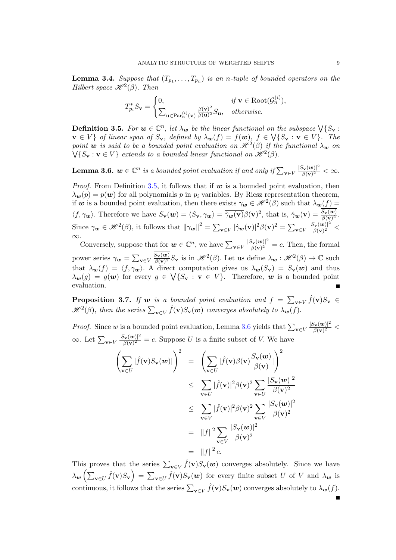**Lemma 3.4.** Suppose that  $(T_{p_1},...,T_{p_n})$  is an n-tuple of bounded operators on the Hilbert space  $\mathcal{H}^2(\beta)$ . Then

$$
T_{p_i}^* S_{\mathbf{v}} = \begin{cases} 0, & \text{if } \mathbf{v} \in \text{Root}(\mathcal{G}_n^{(i)}), \\ \sum_{\mathbf{u} \in \text{Par}_n^{(i)}(\mathbf{v})} \frac{\beta(\mathbf{v})^2}{\beta(\mathbf{u})^2} S_{\mathbf{u}}, & \text{otherwise.} \end{cases}
$$

<span id="page-8-0"></span>**Definition 3.5.** For  $w \in \mathbb{C}^n$ , let  $\lambda_w$  be the linear functional on the subspace  $\bigvee \{S_{\mathbf{v}}:$  $\mathbf{v} \in V$  of linear span of  $S_{\mathbf{v}}$ , defined by  $\lambda_{\mathbf{w}}(f) = f(\mathbf{w})$ ,  $f \in \bigvee\{S_{\mathbf{v}} : \mathbf{v} \in V\}$ . The point **w** is said to be a bounded point evaluation on  $\mathscr{H}^2(\beta)$  if the functional  $\lambda_w$  on  $\bigvee \{S_{\mathbf{v}} : \mathbf{v} \in V\}$  extends to a bounded linear functional on  $\mathcal{H}^2(\beta)$ .

<span id="page-8-1"></span>**Lemma 3.6.**  $w \in \mathbb{C}^n$  is a bounded point evaluation if and only if  $\sum_{\mathbf{v} \in V}$  $|S_{\mathbf{v}}(\boldsymbol{w})|^2$  $\frac{\partial \mathbf{v}(\bm{w})|^{-}}{\beta(\mathbf{v})^{2}} < \infty.$ 

*Proof.* From Definition [3.5,](#page-8-0) it follows that if  $w$  is a bounded point evaluation, then  $\lambda_{\mathbf{w}}(p) = p(\mathbf{w})$  for all polynomials p in  $p_i$  variables. By Riesz representation theorem, if w is a bounded point evaluation, then there exists  $\gamma_w \in \mathcal{H}^2(\beta)$  such that  $\lambda_w(f)$  $\langle f, \gamma_w \rangle$ . Therefore we have  $S_{\mathbf{v}}(\mathbf{w}) = \langle S_{\mathbf{v}}, \gamma_{\mathbf{w}} \rangle = \overline{\hat{\gamma}_{\mathbf{w}}(\mathbf{v})} \beta(\mathbf{v})^2$ , that is,  $\hat{\gamma}_{\mathbf{w}}(\mathbf{v}) = \frac{S_{\mathbf{v}}(\mathbf{w})}{\beta(\mathbf{v})^2}$ . Since  $\gamma_{\mathbf{w}} \in \mathcal{H}^2(\beta)$ , it follows that  $\|\gamma_{\mathbf{w}}\|^2 = \sum_{\mathbf{v} \in V} |\hat{\gamma}_{\mathbf{w}}(\mathbf{v})|^2 \beta(\mathbf{v})^2 = \sum_{\mathbf{v} \in V} |\hat{\gamma}_{\mathbf{w}}(\mathbf{v})|^2 \beta(\mathbf{v})^2$  $|S_{\mathbf{v}}(\boldsymbol{w})|^2$  $\frac{\partial \mathbf{v}(\boldsymbol{w})|^2}{\beta(\mathbf{v})^2}$  < ∞.  $|S_{\mathbf{v}}(\boldsymbol{w})|^2$ 

Conversely, suppose that for  $w \in \mathbb{C}^n$ , we have  $\sum_{\mathbf{v} \in V}$  $\frac{\partial \mathbf{v}(\mathbf{w})}{\partial (\mathbf{v})^2} = c$ . Then, the formal power series  $\gamma_{w} = \sum_{\mathbf{v} \in V}$  $S_{\mathbf{v}}(\boldsymbol{w})$  $\frac{S_{\mathbf{v}}(\mathbf{w})}{\beta(\mathbf{v})^2} S_{\mathbf{v}}$  is in  $\mathcal{H}^2(\beta)$ . Let us define  $\lambda_{\mathbf{w}} : \mathcal{H}^2(\beta) \to \mathbb{C}$  such that  $\lambda_{w}(f) = \langle f, \gamma_{w} \rangle$ . A direct computation gives us  $\lambda_{w}(S_{v}) = S_{v}(w)$  and thus  $\lambda_{\mathbf{w}}(g) = g(\mathbf{w})$  for every  $g \in \bigvee \{S_{\mathbf{v}} : \mathbf{v} \in V\}$ . Therefore, we is a bounded point evaluation.

<span id="page-8-2"></span>**Proposition 3.7.** If w is a bounded point evaluation and  $f = \sum_{v \in V} \hat{f}(v)S_v \in$  $\mathscr{H}^{2}(\beta)$ , then the series  $\sum_{\mathbf{v}\in V} \hat{f}(\mathbf{v}) S_{\mathbf{v}}(\boldsymbol{w})$  converges absolutely to  $\lambda_{\boldsymbol{w}}(f)$ .

*Proof.* Since w is a bounded point evaluation, Lemma [3.6](#page-8-1) yields that  $\sum_{\mathbf{v}\in V}$  $|S_{\mathbf{v}}(\boldsymbol{w})|^2$  $\frac{\partial \mathbf{v}(\boldsymbol{w})|^2}{\beta(\mathbf{v})^2} <$  $\infty$ . Let  $\sum_{\mathbf{v}\in V}$  $|S_\mathbf{v}(\boldsymbol{w})|^2$  $\frac{\partial \mathbf{v}(\mathbf{w})}{\partial (\mathbf{v})^2} = c$ . Suppose U is a finite subset of V. We have

$$
\left(\sum_{\mathbf{v}\in U} |\hat{f}(\mathbf{v})S_{\mathbf{v}}(\mathbf{w})|\right)^2 = \left(\sum_{\mathbf{v}\in U} |\hat{f}(\mathbf{v})\beta(\mathbf{v})\frac{S_{\mathbf{v}}(\mathbf{w})}{\beta(\mathbf{v})}|\right)^2
$$
  
\n
$$
\leq \sum_{\mathbf{v}\in U} |\hat{f}(\mathbf{v})|^2 \beta(\mathbf{v})^2 \sum_{\mathbf{v}\in U} \frac{|S_{\mathbf{v}}(\mathbf{w})|^2}{\beta(\mathbf{v})^2}
$$
  
\n
$$
\leq \sum_{\mathbf{v}\in V} |\hat{f}(\mathbf{v})|^2 \beta(\mathbf{v})^2 \sum_{\mathbf{v}\in V} \frac{|S_{\mathbf{v}}(\mathbf{w})|^2}{\beta(\mathbf{v})^2}
$$
  
\n
$$
= ||f||^2 \sum_{\mathbf{v}\in V} \frac{|S_{\mathbf{v}}(\mathbf{w})|^2}{\beta(\mathbf{v})^2}
$$
  
\n
$$
= ||f||^2 c.
$$

This proves that the series  $\sum_{\mathbf{v}\in V} \hat{f}(\mathbf{v}) S_{\mathbf{v}}(\mathbf{w})$  converges absolutely. Since we have  $\lambda_{w}\left(\sum_{\mathbf{v}\in U}\hat{f}(\mathbf{v})S_{\mathbf{v}}\right) = \sum_{\mathbf{v}\in U}\hat{f}(\mathbf{v})S_{\mathbf{v}}(\mathbf{w})$  for every finite subset U of V and  $\lambda_{w}$  is continuous, it follows that the series  $\sum_{\mathbf{v}\in V} \hat{f}(\mathbf{v}) S_{\mathbf{v}}(\mathbf{w})$  converges absolutely to  $\lambda_{\mathbf{w}}(f)$ .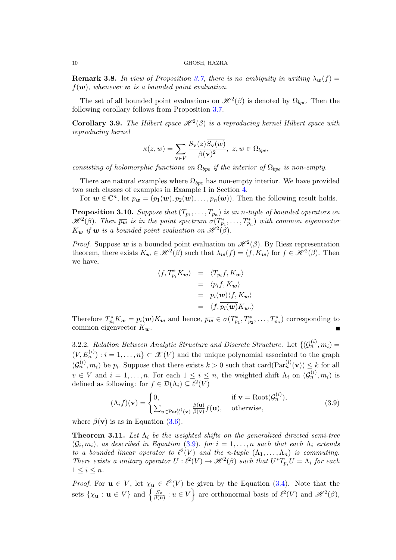**Remark 3.8.** In view of Proposition [3.7,](#page-8-2) there is no ambiguity in writing  $\lambda_{\mathbf{w}}(f)$  =  $f(\boldsymbol{w})$ , whenever  $\boldsymbol{w}$  is a bounded point evaluation.

The set of all bounded point evaluations on  $\mathcal{H}^2(\beta)$  is denoted by  $\Omega_{bpe}$ . Then the following corollary follows from Proposition [3.7.](#page-8-2)

<span id="page-9-2"></span>**Corollary 3.9.** The Hilbert space  $\mathcal{H}^2(\beta)$  is a reproducing kernel Hilbert space with reproducing kernel

$$
\kappa(z, w) = \sum_{\mathbf{v} \in V} \frac{S_{\mathbf{v}}(z) S_{\mathbf{v}}(w)}{\beta(\mathbf{v})^2}, \ z, w \in \Omega_{bpe},
$$

consisting of holomorphic functions on  $\Omega_{bpe}$  if the interior of  $\Omega_{bpe}$  is non-empty.

There are natural examples where  $\Omega_{bpe}$  has non-empty interior. We have provided two such classes of examples in Example I in Section [4.](#page-10-0)

For  $\mathbf{w} \in \mathbb{C}^n$ , let  $p_{\mathbf{w}} = (p_1(\mathbf{w}), p_2(\mathbf{w}), \dots, p_n(\mathbf{w}))$ . Then the following result holds.

**Proposition 3.10.** Suppose that  $(T_{p_1},...,T_{p_n})$  is an n-tuple of bounded operators on  $\mathscr{H}^2(\beta)$ . Then  $\overline{p_{\boldsymbol{w}}}$  is in the point spectrum  $\sigma(T^*_{p_1}, \ldots, T^*_{p_n})$  with common eigenvector  $K_{\boldsymbol{w}}$  if  $\boldsymbol{w}$  is a bounded point evaluation on  $\mathscr{H}^2(\beta)$ .

*Proof.* Suppose  $w$  is a bounded point evaluation on  $\mathcal{H}^2(\beta)$ . By Riesz representation theorem, there exists  $K_w \in \mathcal{H}^2(\beta)$  such that  $\lambda_w(f) = \langle f, K_w \rangle$  for  $f \in \mathcal{H}^2(\beta)$ . Then we have,

$$
\langle f, T_{p_i}^* K_{\mathbf{w}} \rangle = \langle T_{p_i} f, K_{\mathbf{w}} \rangle
$$
  
=  $\langle p_i f, K_{\mathbf{w}} \rangle$   
=  $p_i(\mathbf{w}) \langle f, K_{\mathbf{w}} \rangle$   
=  $\langle f, p_i(\mathbf{w}) K_{\mathbf{w}} \cdot \rangle$ 

Therefore  $T_{p_i}^* K_w = \overline{p_i(w)} K_w$  and hence,  $\overline{p_w} \in \sigma(T_{p_1}^*, T_{p_2}^*, \ldots, T_{p_n}^*)$  corresponding to common eigenvector  $K_w$ .

3.2.2. Relation Between Analytic Structure and Discrete Structure. Let  $\{(\mathcal{G}_n^{(i)}, m_i) =$  $(V, E_n^{(i)}): i = 1, \ldots, n$   $\subset \mathcal{X}(V)$  and the unique polynomial associated to the graph  $(\mathcal{G}_n^{(i)}, m_i)$  be  $p_i$ . Suppose that there exists  $k > 0$  such that card $(\text{Par}_n^{(i)}(\mathbf{v})) \leq k$  for all  $v \in V$  and  $i = 1, \ldots, n$ . For each  $1 \leq i \leq n$ , the weighted shift  $\Lambda_i$  on  $(\mathcal{G}_n^{(i)}, m_i)$  is defined as following: for  $f \in \mathcal{D}(\Lambda_i) \subseteq \ell^2(V)$ 

<span id="page-9-1"></span>
$$
(\Lambda_i f)(\mathbf{v}) = \begin{cases} 0, & \text{if } \mathbf{v} = \text{Root}(\mathcal{G}_n^{(i)}), \\ \sum_{u \in \text{Par}_n^{(i)}(\mathbf{v})} \frac{\beta(\mathbf{u})}{\beta(\mathbf{v})} f(\mathbf{u}), & \text{otherwise,} \end{cases}
$$
(3.9)

where  $\beta(\mathbf{v})$  is as in Equation [\(3.6\)](#page-6-2).

<span id="page-9-0"></span>**Theorem 3.11.** Let  $\Lambda_i$  be the weighted shifts on the generalized directed semi-tree  $(\mathcal{G}_i, m_i)$ , as described in Equation [\(3.9\)](#page-9-1), for  $i = 1, \ldots, n$  such that each  $\Lambda_i$  extends to a bounded linear operator to  $\ell^2(V)$  and the n-tuple  $(\Lambda_1, \ldots, \Lambda_n)$  is commuting. There exists a unitary operator  $U: \ell^2(V) \to \mathcal{H}^2(\beta)$  such that  $U^*T_{p_i}U = \Lambda_i$  for each  $1 \leq i \leq n$ .

*Proof.* For  $u \in V$ , let  $\chi_u \in \ell^2(V)$  be given by the Equation [\(3.4\)](#page-4-4). Note that the sets  $\{\chi_{\mathbf{u}} : \mathbf{u} \in V\}$  and  $\left\{\frac{S_{\mathbf{u}}}{\beta(\mathbf{u})} : u \in V\right\}$  are orthonormal basis of  $\ell^2(V)$  and  $\mathscr{H}^2(\beta)$ ,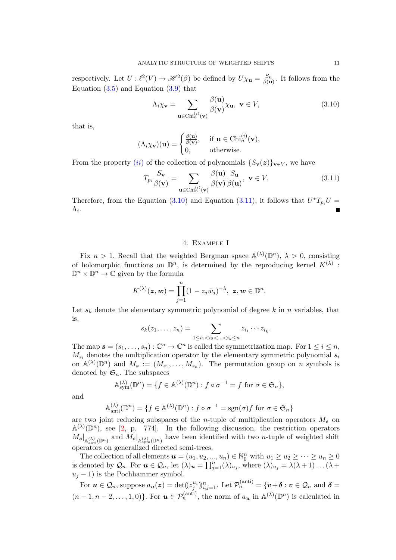<span id="page-10-3"></span>respectively. Let  $U: \ell^2(V) \to \mathcal{H}^2(\beta)$  be defined by  $U\chi_{\mathbf{u}} = \frac{S_{\mathbf{u}}}{\beta(\mathbf{u})}$ . It follows from the Equation  $(3.5)$  and Equation  $(3.9)$  that

<span id="page-10-1"></span>
$$
\Lambda_i \chi_{\mathbf{v}} = \sum_{\mathbf{u} \in \text{Chi}_n^{(i)}(\mathbf{v})} \frac{\beta(\mathbf{u})}{\beta(\mathbf{v})} \chi_{\mathbf{u}}, \ \mathbf{v} \in V,
$$
\n(3.10)

that is,

$$
(\Lambda_i \chi_{\mathbf{v}})(\mathbf{u}) = \begin{cases} \frac{\beta(\mathbf{u})}{\beta(\mathbf{v})}, & \text{if } \mathbf{u} \in \text{Chi}_n^{(i)}(\mathbf{v}), \\ 0, & \text{otherwise.} \end{cases}
$$

From the property ([ii](#page-6-3)) of the collection of polynomials  $\{S_{\mathbf{v}}(z)\}_{\mathbf{v}\in V}$ , we have

<span id="page-10-2"></span>
$$
T_{p_i} \frac{S_{\mathbf{v}}}{\beta(\mathbf{v})} = \sum_{\mathbf{u} \in \text{Chi}_n^{(i)}(\mathbf{v})} \frac{\beta(\mathbf{u})}{\beta(\mathbf{v})} \frac{S_{\mathbf{u}}}{\beta(\mathbf{u})}, \ \mathbf{v} \in V. \tag{3.11}
$$

Therefore, from the Equation [\(3.10\)](#page-10-1) and Equation [\(3.11\)](#page-10-2), it follows that  $U^*T_{p_i}U =$  $\Lambda_i$ .

# 4. Example I

<span id="page-10-0"></span>Fix  $n > 1$ . Recall that the weighted Bergman space  $\mathbb{A}^{(\lambda)}(\mathbb{D}^n)$ ,  $\lambda > 0$ , consisting of holomorphic functions on  $\mathbb{D}^n$ , is determined by the reproducing kernel  $K^{(\lambda)}$ :  $\mathbb{D}^n \times \mathbb{D}^n \to \mathbb{C}$  given by the formula

$$
K^{(\lambda)}(\boldsymbol{z},\boldsymbol{w})=\prod_{j=1}^n(1-z_j\bar{w}_j)^{-\lambda},\ \boldsymbol{z},\boldsymbol{w}\in\mathbb{D}^n.
$$

Let  $s_k$  denote the elementary symmetric polynomial of degree k in n variables, that is,

$$
s_k(z_1,...,z_n) = \sum_{1 \leq i_1 < i_2 < ... < i_k \leq n} z_{i_1} \cdots z_{i_k}.
$$

The map  $\mathbf{s} = (s_1, \ldots, s_n) : \mathbb{C}^n \to \mathbb{C}^n$  is called the symmetrization map. For  $1 \leq i \leq n$ ,  $M_{s_i}$  denotes the multiplication operator by the elementary symmetric polynomial  $s_i$ on  $\mathbb{A}^{(\lambda)}(\mathbb{D}^n)$  and  $M_{\mathbf{s}} := (M_{s_1}, \ldots, M_{s_n}).$  The permutation group on n symbols is denoted by  $\mathfrak{S}_n$ . The subspaces

$$
\mathbb{A}_{\text{sym}}^{(\lambda)}(\mathbb{D}^n) = \{ f \in \mathbb{A}^{(\lambda)}(\mathbb{D}^n) : f \circ \sigma^{-1} = f \text{ for } \sigma \in \mathfrak{S}_n \},
$$

and

$$
\mathbb{A}_{\text{anti}}^{(\lambda)}(\mathbb{D}^n) = \{ f \in \mathbb{A}^{(\lambda)}(\mathbb{D}^n) : f \circ \sigma^{-1} = \text{sgn}(\sigma) f \text{ for } \sigma \in \mathfrak{S}_n \}
$$

are two joint reducing subspaces of the *n*-tuple of multiplication operators  $M_s$  on  $\mathbb{A}^{(\lambda)}(\mathbb{D}^n)$ , see [\[2,](#page-17-2) p. 774]. In the following discussion, the restriction operators  $M_{s}|_{\mathbb{A}_{\text{anti}}^{(\lambda)}(\mathbb{D}^n)}$  and  $M_{s}|_{\mathbb{A}_{\text{sym}}^{(\lambda)}(\mathbb{D}^n)}$  have been identified with two *n*-tuple of weighted shift operators on generalized directed semi-trees.

The collection of all elements  $u = (u_1, u_2, ..., u_n) \in \mathbb{N}_0^n$  with  $u_1 \geq u_2 \geq ... \geq u_n \geq 0$ is denoted by  $\mathcal{Q}_n$ . For  $u \in \mathcal{Q}_n$ , let  $(\lambda)_{\boldsymbol{u}} = \prod_{j=1}^n (\lambda)_{u_j}$ , where  $(\lambda)_{u_j} = \lambda(\lambda+1) \ldots (\lambda+1)$  $u_j - 1$ ) is the Pochhammer symbol.

For  $u \in \mathcal{Q}_n$ , suppose  $a_{\boldsymbol{u}}(z) = \det((z_j^{u_i}) )_{i,j=1}^n$ . Let  $\mathcal{P}_n^{(\text{anti})} = \{ \boldsymbol{v} + \boldsymbol{\delta} : \boldsymbol{v} \in \mathcal{Q}_n \text{ and } \boldsymbol{\delta} = \emptyset\}$  $(n-1,n-2,\ldots,1,0)$ . For  $u \in \mathcal{P}_n^{(\text{anti})}$ , the norm of  $a_u$  in  $\mathbb{A}^{(\lambda)}(\mathbb{D}^n)$  is calculated in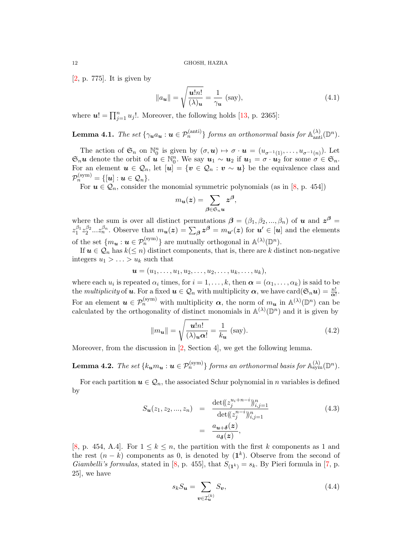<span id="page-11-2"></span>[\[2,](#page-17-2) p. 775]. It is given by

<span id="page-11-0"></span>
$$
\|a_{\mathbf{u}}\| = \sqrt{\frac{\mathbf{u}!n!}{(\lambda)\mathbf{u}}} = \frac{1}{\gamma_{\mathbf{u}}} \text{ (say)},\tag{4.1}
$$

where  $u! = \prod_{j=1}^{n} u_j!$ . Moreover, the following holds [\[13,](#page-18-3) p. 2365]:

**Lemma 4.1.** The set 
$$
\{\gamma_u a_u : u \in \mathcal{P}_n^{(\text{anti})}\}\
$$
 forms an orthonormal basis for  $\mathbb{A}_{\text{anti}}^{(\lambda)}(\mathbb{D}^n)$ .

The action of  $\mathfrak{S}_n$  on  $\mathbb{N}_0^n$  is given by  $(\sigma, \mathbf{u}) \mapsto \sigma \cdot \mathbf{u} = (u_{\sigma^{-1}(1)}, \dots, u_{\sigma^{-1}(n)})$ . Let  $\mathfrak{S}_n$ **u** denote the orbit of  $\mathbf{u} \in \mathbb{N}_0^n$ . We say  $\mathbf{u}_1 \sim \mathbf{u}_2$  if  $\mathbf{u}_1 = \sigma \cdot \mathbf{u}_2$  for some  $\sigma \in \mathfrak{S}_n$ . For an element  $u \in \mathcal{Q}_n$ , let  $[u] = \{v \in \mathcal{Q}_n : v \sim u\}$  be the equivalence class and  $\mathcal{P}_n^{\text{(sym)}} = \{[\bm{u}]: \bm{u} \in \mathcal{Q}_n\}.$ 

For  $u \in \mathcal{Q}_n$ , consider the monomial symmetric polynomials (as in [\[8,](#page-17-7) p. 454])

$$
m_{\boldsymbol{u}}(\boldsymbol{z}) = \sum_{\boldsymbol{\beta} \in \mathfrak{S}_n \boldsymbol{u}} \boldsymbol{z}^{\boldsymbol{\beta}},
$$

where the sum is over all distinct permutations  $\boldsymbol{\beta} = (\beta_1, \beta_2, ..., \beta_n)$  of **u** and  $z^{\boldsymbol{\beta}} =$  $z_1^{\beta_1} z_2^{\beta_2} ... z_n^{\beta_n}$ . Observe that  $m_{\mathbf{u}}(z) = \sum_{\beta} z^{\beta} = m_{\mathbf{u}'}(z)$  for  $\mathbf{u}' \in [\mathbf{u}]$  and the elements of the set  $\{m_{\mathbf{u}} : \mathbf{u} \in \mathcal{P}_n^{(\text{sym})}\}\$ are mutually orthogonal in  $\mathbb{A}^{(\lambda)}(\mathbb{D}^n)$ .

If  $u \in \mathcal{Q}_n$  has  $k \leq n$  distinct components, that is, there are k distinct non-negative integers  $u_1 > \ldots > u_k$  such that

$$
\boldsymbol{u}=(u_1,\ldots,u_1,u_2,\ldots,u_2,\ldots,u_k,\ldots,u_k),
$$

where each  $u_i$  is repeated  $\alpha_i$  times, for  $i = 1, \ldots, k$ , then  $\boldsymbol{\alpha} = (\alpha_1, \ldots, \alpha_k)$  is said to be the multiplicity of **u**. For a fixed  $u \in Q_n$  with multiplicity  $\alpha$ , we have card $(\mathfrak{S}_n u) = \frac{n!}{\alpha!}$ . For an element  $u \in \mathcal{P}_n^{(\text{sym})}$  with multiplicity  $\alpha$ , the norm of  $m_u$  in  $\mathbb{A}^{(\lambda)}(\mathbb{D}^n)$  can be calculated by the orthogonality of distinct monomials in  $\mathbb{A}^{(\lambda)}(\mathbb{D}^n)$  and it is given by

<span id="page-11-1"></span>
$$
||m_{\mathbf{u}}|| = \sqrt{\frac{\mathbf{u}!n!}{(\lambda)_{\mathbf{u}}\alpha!}} = \frac{1}{k_{\mathbf{u}}} \text{ (say)}.
$$
 (4.2)

Moreover, from the discussion in [\[2,](#page-17-2) Section 4], we get the following lemma.

**Lemma 4.2.** The set  $\{k_{\boldsymbol{u}}m_{\boldsymbol{u}}: \boldsymbol{u} \in \mathcal{P}_n^{(\mathrm{sym})}\}$  forms an orthonormal basis for  $\mathbb{A}_{\mathrm{sym}}^{(\lambda)}(\mathbb{D}^n)$ .

For each partition  $u \in \mathcal{Q}_n$ , the associated Schur polynomial in n variables is defined by

$$
S_{\mathbf{u}}(z_1, z_2, ..., z_n) = \frac{\det((z_j^{u_i + n - i}))_{i,j=1}^n}{\det((z_j^{n - i}))_{i,j=1}^n} = \frac{a_{\mathbf{u} + \delta}(z)}{a_{\delta}(z)},
$$
(4.3)

[\[8,](#page-17-7) p. 454, A.4]. For  $1 \leq k \leq n$ , the partition with the first k components as 1 and the rest  $(n - k)$  components as 0, is denoted by  $(1<sup>k</sup>)$ . Observe from the second of *Giambelli's formulas*, stated in [\[8,](#page-17-7) p. 455], that  $S_{(1^k)} = s_k$ . By Pieri formula in [\[7,](#page-17-8) p. 25], we have

$$
s_k S_{\mathbf{u}} = \sum_{\mathbf{v} \in \mathcal{I}_{\mathbf{u}}^{(k)}} S_{\mathbf{v}},\tag{4.4}
$$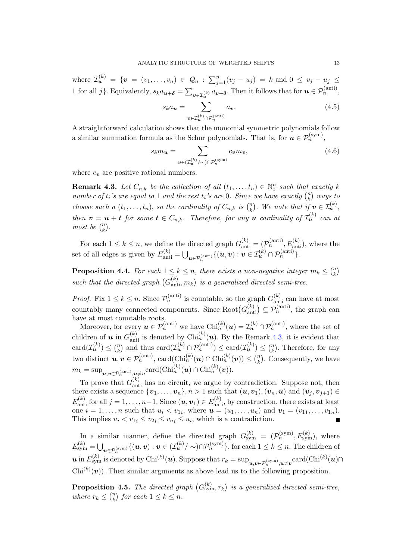where  $\mathcal{I}_{\bm u}^{(k)} = \{ \bm v = (v_1, \ldots, v_n) \in \mathcal{Q}_n : \sum_{j=1}^n (v_j - u_j) = k \text{ and } 0 \le v_j - u_j \le k \}$ 1 for all j}. Equivalently,  $s_k a_{\mathbf{u}+\boldsymbol{\delta}} = \sum_{\mathbf{v}\in\mathcal{I}_{\mathbf{u}}^{(k)}} a_{\mathbf{v}+\boldsymbol{\delta}}$ . Then it follows that for  $\mathbf{u}\in\mathcal{P}_n^{(\text{anti})}$ ,

$$
s_k a_{\mathbf{u}} = \sum_{\mathbf{v} \in \mathcal{I}_{\mathbf{u}}^{(k)} \cap \mathcal{P}_n^{(\text{anti})}} a_{\mathbf{v}}.
$$
 (4.5)

A straightforward calculation shows that the monomial symmetric polynomials follow a similar summation formula as the Schur polynomials. That is, for  $u \in \mathcal{P}_n^{(\text{sym})}$ ,

$$
s_k m_{\mathbf{u}} = \sum_{\mathbf{v} \in (\mathcal{I}_{\mathbf{u}}^{(k)}/\sim) \cap \mathcal{P}_n^{(\text{sym})}} c_{\mathbf{v}} m_{\mathbf{v}},\tag{4.6}
$$

where  $c_v$  are positive rational numbers.

<span id="page-12-0"></span>**Remark 4.3.** Let  $C_{n,k}$  be the collection of all  $(t_1, \ldots, t_n) \in \mathbb{N}_0^n$  such that exactly k number of  $t_i$ 's are equal to 1 and the rest  $t_i$ 's are 0. Since we have exactly  $\binom{n}{k}$  $\binom{n}{k}$  ways to choose such a  $(t_1, \ldots, t_n)$ , so the cardinality of  $C_{n,k}$  is  $\binom{n}{k}$  $\binom{n}{k}$ . We note that if  $v \in \mathcal{I}_{\mathbf{u}}^{(k)}$ , then  $v = u + t$  for some  $t \in C_{n,k}$ . Therefore, for any u cardinality of  $\mathcal{I}_{u}^{(k)}$  can at most be  $\binom{n}{k}$  $\binom{n}{k}$ .

For each  $1 \leq k \leq n$ , we define the directed graph  $G_{\text{anti}}^{(k)} = (\mathcal{P}_n^{(\text{anti})}, E_{\text{anti}}^{(k)})$ , where the set of all edges is given by  $E_{\text{anti}}^{(k)} = \bigcup_{\boldsymbol{u} \in \mathcal{P}_n^{(\text{anti})}} \{(\boldsymbol{u}, \boldsymbol{v}) : \boldsymbol{v} \in \mathcal{I}_{\boldsymbol{u}}^{(k)} \cap \mathcal{P}_n^{(\text{anti})}\}.$ 

<span id="page-12-2"></span>**Proposition 4.4.** For each  $1 \leq k \leq n$ , there exists a non-negative integer  $m_k \leq {n \choose k}$  $\binom{n}{k}$ such that the directed graph  $(G_{\text{anti}}^{(k)}, m_k)$  is a generalized directed semi-tree.

*Proof.* Fix  $1 \leq k \leq n$ . Since  $\mathcal{P}_n^{(\text{anti})}$  is countable, so the graph  $G_{\text{anti}}^{(k)}$  can have at most countably many connected components. Since  $Root(G_{anti}^{(k)}) \subseteq \mathcal{P}_n^{(anti)}$ , the graph can have at most countable roots.

Moreover, for every  $u \in \mathcal{P}_n^{(\text{anti})}$  we have  $\text{Chi}_n^{(k)}(u) = \mathcal{I}_u^{(k)} \cap \mathcal{P}_n^{(\text{anti})}$ , where the set of children of **u** in  $G_{\text{anti}}^{(k)}$  is denoted by Chi $_{n}^{(k)}(u)$ . By the Remark [4.3,](#page-12-0) it is evident that  $card(\mathcal{I}_{u}^{(k)}) \leq {n \choose k}$  $\binom{n}{k}$  and thus card $(\mathcal{I}_{\boldsymbol{u}}^{(k)} \cap \mathcal{P}_n^{(\text{anti})}) \leq \text{card}(\mathcal{I}_{\boldsymbol{u}}^{(k)}) \leq \binom{n}{k}$  $\binom{n}{k}$ . Therefore, for any two distinct  $u, v \in \mathcal{P}_n^{(\text{anti})}$ , card $(\text{Chi}_n^{(k)}(u) \cap \text{Chi}_n^{(k)}(v)) \leq {n \choose k}$  $\binom{n}{k}$ . Consequently, we have  $m_k = \sup_{\boldsymbol{u}, \boldsymbol{v} \in \mathcal{P}_n^{(\text{anti})}, \boldsymbol{u} \neq \boldsymbol{v}} \text{card}(\text{Chi}_n^{(k)}(\boldsymbol{u}) \cap \text{Chi}_n^{(k)}(\boldsymbol{v})).$ 

To prove that  $G_{\text{anti}}^{(k)}$  has no circuit, we argue by contradiction. Suppose not, then there exists a sequence  $\{v_1, \ldots, v_n\}, n > 1$  such that  $(u, v_1), (v_n, u)$  and  $(v_i, v_{i+1}) \in$  $E_{\text{anti}}^{(k)}$  for all  $j = 1, \ldots, n-1$ . Since  $(\boldsymbol{u}, \boldsymbol{v}_1) \in E_{\text{anti}}^{(k)}$ , by construction, there exists at least one  $i = 1, ..., n$  such that  $u_i < v_{1i}$ , where  $u = (u_1, ..., u_n)$  and  $v_1 = (v_{11}, ..., v_{1n})$ . This implies  $u_i < v_{1i} \le v_{2i} \le v_{ni} \le u_i$ , which is a contradiction.

In a similar manner, define the directed graph  $G_{sym}^{(k)} = (\mathcal{P}_n^{(\text{sym})}, E_{sym}^{(k)})$ , where  $E_{\text{sym}}^{(k)} = \bigcup_{\bm{u} \in \mathcal{P}_n^{\text{(sym)}}} \{(\bm{u}, \bm{v}): \bm{v} \in (\mathcal{I}_{\bm{u}}^{(k)} / \sim) \cap \mathcal{P}_n^{\text{(sym)}}\},$  for each  $1 \leq k \leq n.$  The children of  $u$  in  $E_{\text{sym}}^{(k)}$  is denoted by Chi<sup>(k)</sup>(u). Suppose that  $r_k = \sup_{\bm{u}, \bm{v} \in \mathcal{P}_n^{(\text{sym})}, \bm{u} \neq \bm{v}} \text{card}(\text{Chi}^{(k)}(\bm{u}) \cap$  $\text{Chi}^{(k)}(v)$ . Then similar arguments as above lead us to the following proposition.

<span id="page-12-1"></span>**Proposition 4.5.** The directed graph  $(G_{sym}^{(k)}, r_k)$  is a generalized directed semi-tree, where  $r_k \leq \binom{n}{k}$  ${k \choose k}$  for each  $1 \leq k \leq n$ .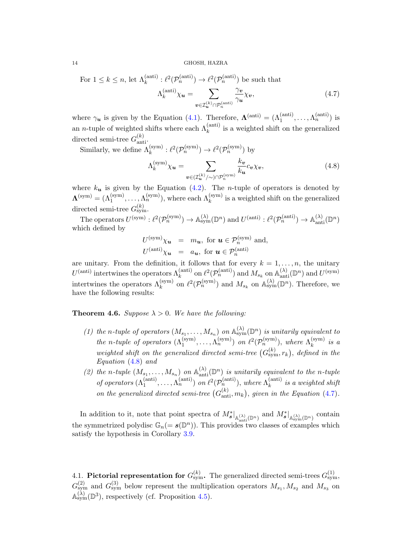For 
$$
1 \le k \le n
$$
, let  $\Lambda_k^{\text{(anti)}} : \ell^2(\mathcal{P}_n^{\text{(anti)}}) \to \ell^2(\mathcal{P}_n^{\text{(anti)}})$  be such that  

$$
\Lambda_k^{\text{(anti)}} \chi_{\mathbf{u}} = \sum_{\mathbf{v} \in \mathcal{I}_{\mathbf{u}}^{(k)} \cap \mathcal{P}_n^{\text{(anti)}}} \frac{\gamma_{\mathbf{v}}}{\gamma_{\mathbf{u}}} \chi_{\mathbf{v}},
$$
(4.7)

where  $\gamma_{\mathbf{u}}$  is given by the Equation [\(4.1\)](#page-11-0). Therefore,  $\mathbf{\Lambda}^{(\text{anti})} = (\Lambda_1^{(\text{anti})}, \dots, \Lambda_n^{(\text{anti})})$  is an *n*-tuple of weighted shifts where each  $\Lambda_k^{\text{(anti)}}$  is a weighted shift on the generalized directed semi-tree  $G_{\text{anti}}^{(k)}$ .

Similarly, we define  $\Lambda_k^{(\text{sym})} : \ell^2(\mathcal{P}_n^{(\text{sym})}) \to \ell^2(\mathcal{P}_n^{(\text{sym})})$  by

<span id="page-13-1"></span><span id="page-13-0"></span>
$$
\Lambda_k^{(\text{sym})} \chi_u = \sum_{\mathbf{v} \in (\mathcal{I}_u^{(k)}/\sim) \cap \mathcal{P}_n^{(\text{sym})}} \frac{k_\mathbf{v}}{k_\mathbf{u}} c_\mathbf{v} \chi_v,
$$
\n(4.8)

where  $k_u$  is given by the Equation [\(4.2\)](#page-11-1). The *n*-tuple of operators is denoted by  $\Lambda^{(\text{sym})} = (\Lambda_1^{(\text{sym})}, \ldots, \Lambda_n^{(\text{sym})})$ , where each  $\Lambda_k^{(\text{sym})}$  is a weighted shift on the generalized 1 directed semi-tree  $G_{sym}^{(k)}$ .

The operators  $U^{(\text{sym})}: \ell^2(\mathcal{P}_n^{(\text{sym})}) \to \mathbb{A}^{(\lambda)}_{\text{sym}}(\mathbb{D}^n)$  and  $U^{(\text{anti})}: \ell^2(\mathcal{P}_n^{(\text{anti})}) \to \mathbb{A}^{(\lambda)}_{\text{anti}}(\mathbb{D}^n)$ which defined by

$$
U^{(\text{sym})}\chi_{\boldsymbol{u}} = m_{\boldsymbol{u}}, \text{ for } \boldsymbol{u} \in \mathcal{P}_n^{(\text{sym})} \text{ and,}
$$
  

$$
U^{(\text{anti})}\chi_{\boldsymbol{u}} = a_{\boldsymbol{u}}, \text{ for } \boldsymbol{u} \in \mathcal{P}_n^{(\text{anti})}
$$

are unitary. From the definition, it follows that for every  $k = 1, \ldots, n$ , the unitary  $U^{(\text{anti})}$  intertwines the operators  $\Lambda_k^{(\text{anti})}$  on  $\ell^2(\mathcal{P}_n^{(\text{anti})})$  and  $M_{s_k}$  on  $\mathbb{A}_{\text{anti}}^{(\lambda)}(\mathbb{D}^n)$  and  $U^{(\text{sym})}$ intertwines the operators  $\Lambda_k^{(\text{sym})}$  on  $\ell^2(\mathcal{P}_n^{(\text{sym})})$  and  $M_{s_k}$  on  $\mathbb{A}_{\text{sym}}^{(\lambda)}(\mathbb{D}^n)$ . Therefore, we have the following results:

**Theorem 4.6.** Suppose  $\lambda > 0$ . We have the following:

- (1) the n-tuple of operators  $(M_{s_1},...,M_{s_n})$  on  $\mathbb{A}^{(\lambda)}_{sym}(\mathbb{D}^n)$  is unitarily equivalent to the n-tuple of operators  $(\Lambda_1^{(\text{sym})}, \ldots, \Lambda_n^{(\text{sym})})$  on  $\ell^2(\mathcal{P}_n^{(\text{sym})})$ , where  $\Lambda_k^{(\text{sym})}$  $\begin{matrix}\n k^{(sym)} & is & a\n\end{matrix}$ weighted shift on the generalized directed semi-tree  $(G_{sym}^{(k)}, r_k)$ , defined in the Equation [\(4.8\)](#page-13-0) and
- (2) the n-tuple  $(M_{s_1},...,M_{s_n})$  on  $\mathbb{A}_{\text{anti}}^{(\lambda)}(\mathbb{D}^n)$  is unitarily equivalent to the n-tuple of operators  $(\Lambda_1^{(anti)}, \ldots, \Lambda_n^{(anti)})$  on  $\ell^2(\mathcal{P}_n^{(anti)})$ , where  $\Lambda_k^{(anti)}$  $\binom{(\text{ant})}{k}$  is a weighted shift on the generalized directed semi-tree  $(G_{\text{anti}}^{(k)}, m_k)$ , given in the Equation [\(4.7\)](#page-13-1).

In addition to it, note that point spectra of  $M_s^*|_{\mathbb{A}_{\text{anti}}^{(\lambda)}(\mathbb{D}^n)}$  and  $M_s^*|_{\mathbb{A}_{\text{sym}}^{(\lambda)}(\mathbb{D}^n)}$  contain the symmetrized polydisc  $\mathbb{G}_n(= \mathbf{s}(\mathbb{D}^n))$ . This provides two classes of examples which satisfy the hypothesis in Corollary [3.9.](#page-9-2)

4.1. Pictorial representation for  $G_{sym}^{(k)}$ . The generalized directed semi-trees  $G_{sym}^{(1)}$ ,  $G_{sym}^{(2)}$  and  $G_{sym}^{(3)}$  below represent the multiplication operators  $M_{s_1}, M_{s_2}$  and  $M_{s_3}$  on  $\mathbb{A}_{sym}^{(\lambda)}(\mathbb{D}^3)$ , respectively (cf. Proposition [4.5\)](#page-12-1).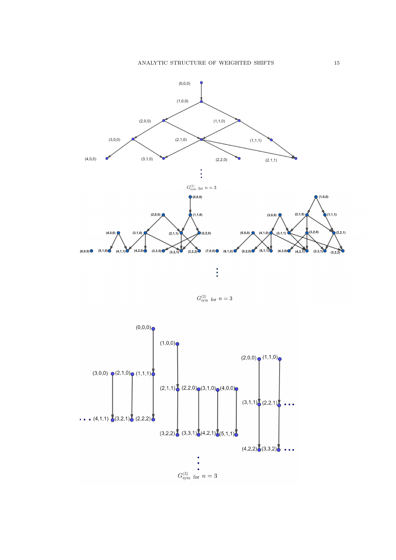

 $G_{\rm sym}^{(2)}$  for  $n=3$ 

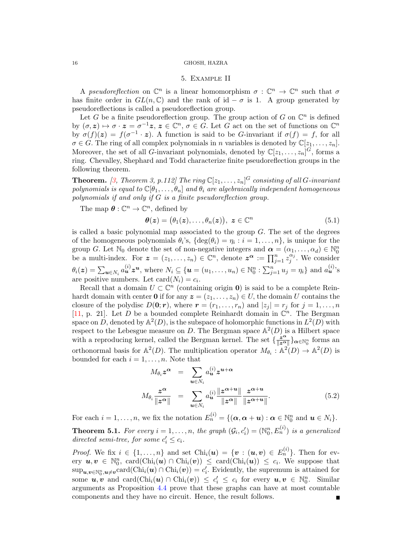# 5. Example II

<span id="page-15-1"></span><span id="page-15-0"></span>A pseudoreflection on  $\mathbb{C}^n$  is a linear homomorphism  $\sigma : \mathbb{C}^n \to \mathbb{C}^n$  such that  $\sigma$ has finite order in  $GL(n,\mathbb{C})$  and the rank of id –  $\sigma$  is 1. A group generated by pseudoreflections is called a pseudoreflection group.

Let G be a finite pseudoreflection group. The group action of G on  $\mathbb{C}^n$  is defined by  $(\sigma, z) \mapsto \sigma \cdot z = \sigma^{-1}z, z \in \mathbb{C}^n, \sigma \in G$ . Let G act on the set of functions on  $\mathbb{C}^n$ by  $\sigma(f)(z) = f(\sigma^{-1} \cdot z)$ . A function is said to be G-invariant if  $\sigma(f) = f$ , for all  $\sigma \in G$ . The ring of all complex polynomials in n variables is denoted by  $\mathbb{C}[z_1, \ldots, z_n]$ . Moreover, the set of all *G*-invariant polynomials, denoted by  $\mathbb{C}[z_1,\ldots,z_n]^G$ , forms a ring. Chevalley, Shephard and Todd characterize finite pseudoreflection groups in the following theorem.

**Theorem.** [\[3,](#page-17-9) Theorem 3, p.112] The ring  $\mathbb{C}[z_1,\ldots,z_n]^G$  consisting of all G-invariant polynomials is equal to  $\mathbb{C}[\theta_1,\ldots,\theta_n]$  and  $\theta_i$  are algebraically independent homogeneous polynomials if and only if  $G$  is a finite pseudoreflection group.

The map  $\boldsymbol{\theta} : \mathbb{C}^n \to \mathbb{C}^n$ , defined by

$$
\boldsymbol{\theta}(\boldsymbol{z}) = (\theta_1(\boldsymbol{z}), \dots, \theta_n(\boldsymbol{z})), \ \boldsymbol{z} \in \mathbb{C}^n \tag{5.1}
$$

is called a basic polynomial map associated to the group  $G$ . The set of the degrees of the homogeneous polynomials  $\theta_i$ 's,  $\{\deg(\theta_i) = \eta_i : i = 1, \ldots, n\}$ , is unique for the group G. Let  $\mathbb{N}_0$  denote the set of non-negative integers and  $\boldsymbol{\alpha} = (\alpha_1, \dots, \alpha_d) \in \mathbb{N}_0^n$ <br>be a multi-index. For  $\boldsymbol{z} = (z_1, \dots, z_n) \in \mathbb{C}^n$ , denote  $\boldsymbol{z}^{\boldsymbol{\alpha}} := \prod_{j=1}^n z_j^{\alpha_j}$ . We consider  $\int_j^{\alpha_j}$ . We consider  $\theta_i(\boldsymbol{z}) = \sum_{\boldsymbol{u} \in N_i} a_{\boldsymbol{u}}^{(i)} \boldsymbol{z}^{\boldsymbol{u}}, \text{ where } N_i \subseteq \{\boldsymbol{u} = (u_1, \dots, u_n) \in \mathbb{N}_0^n : \sum_{j=1}^n u_j = \eta_i\} \text{ and } a_{\boldsymbol{u}}^{(i)}\text{'s}$ are positive numbers. Let  $card(N_i) = c_i$ .

Recall that a domain  $U \subset \mathbb{C}^n$  (containing origin 0) is said to be a complete Reinhardt domain with center 0 if for any  $\boldsymbol{z} = (z_1, \ldots, z_n) \in U$ , the domain U contains the closure of the polydisc  $D(0; r)$ , where  $r = (r_1, \ldots, r_n)$  and  $|z_i| = r_i$  for  $j = 1, \ldots, n$ [\[11,](#page-17-10) p. 21]. Let D be a bounded complete Reinhardt domain in  $\mathbb{C}^n$ . The Bergman space on D, denoted by  $\mathbb{A}^2(D)$ , is the subspace of holomorphic functions in  $L^2(D)$  with respect to the Lebesgue measure on D. The Bergman space  $\mathbb{A}^2(D)$  is a Hilbert space with a reproducing kernel, called the Bergman kernel. The set  $\frac{z^{\alpha}}{\alpha}$  $\frac{z^{\alpha}}{\|z^{\alpha}\|}\}_{\alpha\in\mathbb{N}_{0}^{n}}$  forms an orthonormal basis for  $\mathbb{A}^2(D)$ . The multiplication operator  $M_{\theta_i} : \mathbb{A}^2(D) \to \mathbb{A}^2(D)$  is bounded for each  $i = 1, \ldots, n$ . Note that

$$
M_{\theta_i} z^{\alpha} = \sum_{u \in N_i} a_u^{(i)} z^{u + \alpha}
$$
  

$$
M_{\theta_i} \frac{z^{\alpha}}{\|z^{\alpha}\|} = \sum_{u \in N_i} a_u^{(i)} \frac{\|z^{\alpha+u}\|}{\|z^{\alpha}\|} \frac{z^{\alpha+u}}{\|z^{\alpha+u}\|}.
$$
 (5.2)

For each  $i = 1, ..., n$ , we fix the notation  $E_n^{(i)} = \{(\boldsymbol{\alpha}, \boldsymbol{\alpha} + \boldsymbol{u}) : \boldsymbol{\alpha} \in \mathbb{N}_0^n \text{ and } \boldsymbol{u} \in N_i\}.$ **Theorem 5.1.** For every  $i = 1, ..., n$ , the graph  $(\mathcal{G}_i, c'_i) = (\mathbb{N}_0^n, E_n^{(i)})$  is a generalized directed semi-tree, for some  $c'_i \leq c_i$ .

*Proof.* We fix  $i \in \{1, ..., n\}$  and set  $texttext{Chi}_i(u) = \{v : (u, v) \in E_n^{(i)}\}$ . Then for every  $u, v \in \mathbb{N}_0^n$ , card $(\text{Chi}_i(u) \cap \text{Chi}_i(v)) \leq \text{card}(\text{Chi}_i(u)) \leq c_i$ . We suppose that  $\sup_{u,v\in\mathbb{N}_0^n,u\neq v} \text{card}(\text{Chi}_i(u)\cap \text{Chi}_i(v))=c'_i.$  Evidently, the supremum is attained for some  $u, v$  and  $card(Chi_i(u) \cap Chi_i(v)) \leq c'_i \leq c_i$  for every  $u, v \in \mathbb{N}_0^n$ . Similar arguments as Proposition [4.4](#page-12-2) prove that these graphs can have at most countable components and they have no circuit. Hence, the result follows.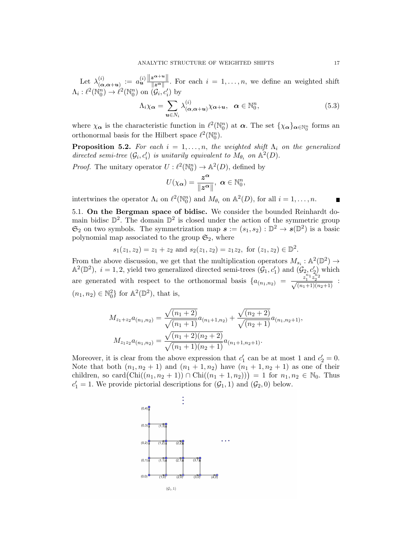Let  $\lambda_{\alpha}^{(i)}$  $\begin{array}{rcl} (i) & := & a_{\boldsymbol{u}}^{(i)} \frac{\|\boldsymbol{z}^{\boldsymbol{\alpha}+ \boldsymbol{u}}\|}{\|\boldsymbol{z}^{\boldsymbol{\alpha}}\|} \end{array}$  $\frac{z}{\|z^{\alpha}\|}$ . For each  $i = 1, \ldots, n$ , we define an weighted shift  $\Lambda_i : \ell^2(\mathbb{N}_0^n) \to \ell^2(\mathbb{N}_0^n)$  on  $(\mathcal{G}_i, c'_i)$  by

$$
\Lambda_i \chi_{\alpha} = \sum_{\mathbf{u} \in N_i} \lambda_{(\alpha, \alpha + \mathbf{u})}^{(i)} \chi_{\alpha + \mathbf{u}}, \quad \alpha \in \mathbb{N}_0^n,
$$
\n(5.3)

where  $\chi_{\alpha}$  is the characteristic function in  $\ell^2(\mathbb{N}_0^n)$  at  $\alpha$ . The set  $\{\chi_{\alpha}\}_{{\alpha \in \mathbb{N}_0^n}}$  forms an orthonormal basis for the Hilbert space  $\ell^2(\mathbb{N}_0^n)$ .

**Proposition 5.2.** For each  $i = 1, \ldots, n$ , the weighted shift  $\Lambda_i$  on the generalized directed semi-tree  $(G_i, c'_i)$  is unitarily equivalent to  $M_{\theta_i}$  on  $\mathbb{A}^2(D)$ .

*Proof.* The unitary operator  $U : \ell^2(\mathbb{N}_0^n) \to \mathbb{A}^2(D)$ , defined by

$$
U(\chi_{\alpha})=\frac{z^{\alpha}}{\|z^{\alpha}\|},\ \alpha\in\mathbb{N}_0^n,
$$

intertwines the operator  $\Lambda_i$  on  $\ell^2(\mathbb{N}_0^n)$  and  $M_{\theta_i}$  on  $\mathbb{A}^2(D)$ , for all  $i = 1, \ldots, n$ .

5.1. On the Bergman space of bidisc. We consider the bounded Reinhardt domain bidisc  $\mathbb{D}^2$ . The domain  $\mathbb{D}^2$  is closed under the action of the symmetric group  $\mathfrak{S}_2$  on two symbols. The symmetrization map  $\mathbf{s} := (s_1, s_2) : \mathbb{D}^2 \to \mathbf{s}(\mathbb{D}^2)$  is a basic polynomial map associated to the group  $\mathfrak{S}_2$ , where

$$
s_1(z_1, z_2) = z_1 + z_2
$$
 and  $s_2(z_1, z_2) = z_1 z_2$ , for  $(z_1, z_2) \in \mathbb{D}^2$ .

From the above discussion, we get that the multiplication operators  $M_{s_i} : \mathbb{A}^2(\mathbb{D}^2) \to$  $\mathbb{A}^2(\mathbb{D}^2)$ ,  $i = 1, 2$ , yield two generalized directed semi-trees  $(\mathcal{G}_1, c'_1)$  and  $(\mathcal{G}_2, c'_2)$  which are generated with respect to the orthonormal basis  $\{a_{(n_1,n_2)} = \frac{z_1^{n_1} z_2^{n_2}}{\sqrt{(n_1+1)(n_2+1)}}\}$  $(n_1, n_2) \in \mathbb{N}_0^2$  for  $\mathbb{A}^2(\mathbb{D}^2)$ , that is,

$$
M_{z_1+z_2}a_{(n_1,n_2)} = \frac{\sqrt{(n_1+2)}}{\sqrt{(n_1+1)}}a_{(n_1+1,n_2)} + \frac{\sqrt{(n_2+2)}}{\sqrt{(n_2+1)}}a_{(n_1,n_2+1)},
$$
  

$$
M_{z_1z_2}a_{(n_1,n_2)} = \frac{\sqrt{(n_1+2)(n_2+2)}}{\sqrt{(n_1+1)(n_2+1)}}a_{(n_1+1,n_2+1)}.
$$

Moreover, it is clear from the above expression that  $c'_1$  can be at most 1 and  $c'_2 = 0$ . Note that both  $(n_1, n_2 + 1)$  and  $(n_1 + 1, n_2)$  have  $(n_1 + 1, n_2 + 1)$  as one of their children, so card $(\text{Chi}((n_1, n_2 + 1)) \cap \text{Chi}((n_1 + 1, n_2))) = 1$  for  $n_1, n_2 \in \mathbb{N}_0$ . Thus  $c'_1 = 1$ . We provide pictorial descriptions for  $(\mathcal{G}_1, 1)$  and  $(\mathcal{G}_2, 0)$  below.

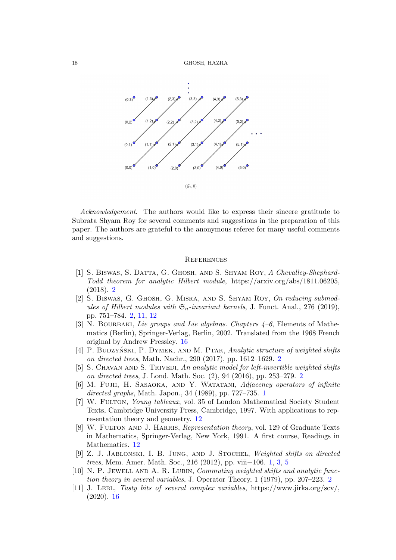

Acknowledgement. The authors would like to express their sincere gratitude to Subrata Shyam Roy for several comments and suggestions in the preparation of this paper. The authors are grateful to the anonymous referee for many useful comments and suggestions.

### **REFERENCES**

- <span id="page-17-3"></span>[1] S. BISWAS, S. DATTA, G. GHOSH, AND S. SHYAM ROY, A Chevalley-Shephard-Todd theorem for analytic Hilbert module, https://arxiv.org/abs/1811.06205, (2018). [2](#page-1-0)
- <span id="page-17-2"></span>[2] S. Biswas, G. Ghosh, G. Misra, and S. Shyam Roy, On reducing submodules of Hilbert modules with  $\mathfrak{S}_n$ -invariant kernels, J. Funct. Anal., 276 (2019). pp. 751–784. [2,](#page-1-0) [11,](#page-10-3) [12](#page-11-2)
- <span id="page-17-9"></span>[3] N. BOURBAKI, Lie groups and Lie algebras. Chapters  $4-6$ , Elements of Mathematics (Berlin), Springer-Verlag, Berlin, 2002. Translated from the 1968 French original by Andrew Pressley. [16](#page-15-1)
- <span id="page-17-6"></span>[4] P. BUDZYŃSKI, P. DYMEK, AND M. PTAK, Analytic structure of weighted shifts on directed trees, Math. Nachr., 290 (2017), pp. 1612–1629. [2](#page-1-0)
- <span id="page-17-5"></span>[5] S. CHAVAN AND S. TRIVEDI, An analytic model for left-invertible weighted shifts on directed trees, J. Lond. Math. Soc. (2), 94 (2016), pp. 253–279. [2](#page-1-0)
- <span id="page-17-0"></span>[6] M. FUJII, H. SASAOKA, AND Y. WATATANI, Adjacency operators of infinite directed graphs, Math. Japon., 34 ([1](#page-0-0)989), pp. 727–735. 1
- <span id="page-17-8"></span>[7] W. FULTON, Young tableaux, vol. 35 of London Mathematical Society Student Texts, Cambridge University Press, Cambridge, 1997. With applications to representation theory and geometry. [12](#page-11-2)
- <span id="page-17-7"></span>[8] W. FULTON AND J. HARRIS, *Representation theory*, vol. 129 of Graduate Texts in Mathematics, Springer-Verlag, New York, 1991. A first course, Readings in Mathematics. [12](#page-11-2)
- <span id="page-17-1"></span>[9] Z. J. Jablonski, I. B. Jung, and J. Stochel, Weighted shifts on directed trees, Mem. Amer. Math. Soc., 216 (2012), pp. viii+106. [1,](#page-0-0) [3,](#page-2-1) [5](#page-4-5)
- <span id="page-17-4"></span>[10] N. P. JEWELL AND A. R. LUBIN, *Commuting weighted shifts and analytic func*tion theory in several variables, J. Operator Theory, 1 (1979), pp. 207–223. [2](#page-1-0)
- <span id="page-17-10"></span>[11] J. Lebl, Tasty bits of several complex variables, https://www.jirka.org/scv/,  $(2020).16$  $(2020).16$